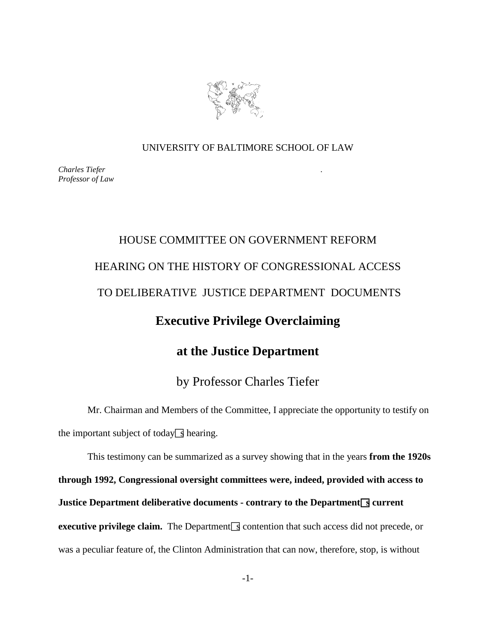

## UNIVERSITY OF BALTIMORE SCHOOL OF LAW

*Charles Tiefer . Professor of Law*

## HOUSE COMMITTEE ON GOVERNMENT REFORM HEARING ON THE HISTORY OF CONGRESSIONAL ACCESS TO DELIBERATIVE JUSTICE DEPARTMENT DOCUMENTS **Executive Privilege Overclaiming at the Justice Department** by Professor Charles Tiefer

Mr. Chairman and Members of the Committee, I appreciate the opportunity to testify on the important subject of today  $\boxed{ }$  hearing.

This testimony can be summarized as a survey showing that in the years **from the 1920s through 1992, Congressional oversight committees were, indeed, provided with access to Justice Department deliberative documents - contrary to the Department s** current **executive privilege claim.** The Department  $\leq$  contention that such access did not precede, or was a peculiar feature of, the Clinton Administration that can now, therefore, stop, is without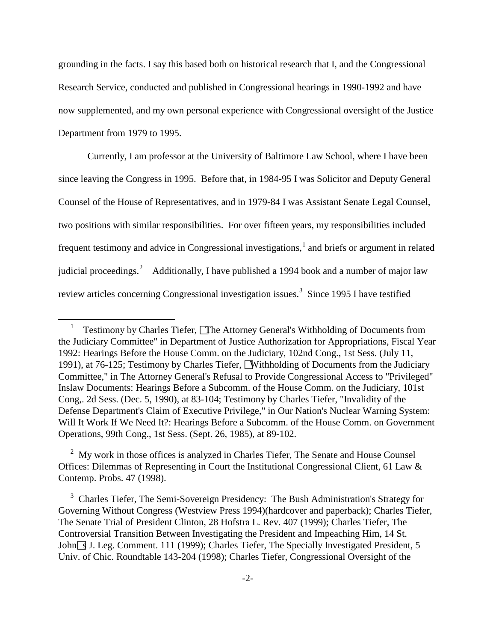grounding in the facts. I say this based both on historical research that I, and the Congressional Research Service, conducted and published in Congressional hearings in 1990-1992 and have now supplemented, and my own personal experience with Congressional oversight of the Justice Department from 1979 to 1995.

Currently, I am professor at the University of Baltimore Law School, where I have been since leaving the Congress in 1995. Before that, in 1984-95 I was Solicitor and Deputy General Counsel of the House of Representatives, and in 1979-84 I was Assistant Senate Legal Counsel, two positions with similar responsibilities. For over fifteen years, my responsibilities included frequent testimony and advice in Congressional investigations, $<sup>1</sup>$  $<sup>1</sup>$  $<sup>1</sup>$  and briefs or argument in related</sup> judicial proceedings.<sup>[2](#page-1-1)</sup> Additionally, I have published a 1994 book and a number of major law review articles concerning Congressional investigation issues.<sup>[3](#page-1-2)</sup> Since 1995 I have testified

 $\overline{a}$ 

<span id="page-1-1"></span><sup>2</sup> My work in those offices is analyzed in Charles Tiefer, The Senate and House Counsel Offices: Dilemmas of Representing in Court the Institutional Congressional Client, 61 Law & Contemp. Probs. 47 (1998).

<span id="page-1-2"></span><sup>3</sup> Charles Tiefer, The Semi-Sovereign Presidency: The Bush Administration's Strategy for Governing Without Congress (Westview Press 1994)(hardcover and paperback); Charles Tiefer, The Senate Trial of President Clinton, 28 Hofstra L. Rev. 407 (1999); Charles Tiefer, The Controversial Transition Between Investigating the President and Impeaching Him, 14 St. John<sup> $\overline{\phantom{a} 3}$ </sup> J. Leg. Comment. 111 (1999); Charles Tiefer, The Specially Investigated President, 5 Univ. of Chic. Roundtable 143-204 (1998); Charles Tiefer, Congressional Oversight of the

<span id="page-1-0"></span><sup>1</sup> Testimony by Charles Tiefer, **The Attorney General's Withholding of Documents from** the Judiciary Committee" in Department of Justice Authorization for Appropriations, Fiscal Year 1992: Hearings Before the House Comm. on the Judiciary, 102nd Cong., 1st Sess. (July 11, 1991), at 76-125; Testimony by Charles Tiefer, Withholding of Documents from the Judiciary Committee," in The Attorney General's Refusal to Provide Congressional Access to "Privileged" Inslaw Documents: Hearings Before a Subcomm. of the House Comm. on the Judiciary, 101st Cong,. 2d Sess. (Dec. 5, 1990), at 83-104; Testimony by Charles Tiefer, "Invalidity of the Defense Department's Claim of Executive Privilege," in Our Nation's Nuclear Warning System: Will It Work If We Need It?: Hearings Before a Subcomm. of the House Comm. on Government Operations, 99th Cong., 1st Sess. (Sept. 26, 1985), at 89-102.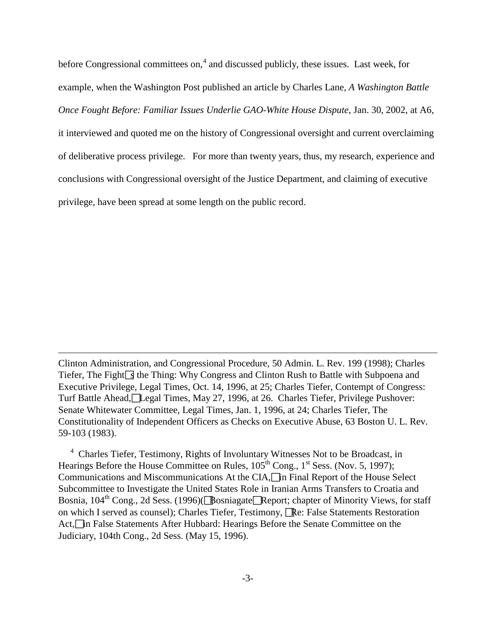before Congressional committees on,<sup>[4](#page-2-0)</sup> and discussed publicly, these issues. Last week, for example, when the Washington Post published an article by Charles Lane, *A Washington Battle Once Fought Before: Familiar Issues Underlie GAO-White House Dispute*, Jan. 30, 2002, at A6, it interviewed and quoted me on the history of Congressional oversight and current overclaiming of deliberative process privilege. For more than twenty years, thus, my research, experience and conclusions with Congressional oversight of the Justice Department, and claiming of executive privilege, have been spread at some length on the public record.

Clinton Administration, and Congressional Procedure, 50 Admin. L. Rev. 199 (1998); Charles Tiefer, The Fight $\sqrt{s}$  the Thing: Why Congress and Clinton Rush to Battle with Subpoena and Executive Privilege, Legal Times, Oct. 14, 1996, at 25; Charles Tiefer, Contempt of Congress: Turf Battle Ahead, Legal Times, May 27, 1996, at 26. Charles Tiefer, Privilege Pushover: Senate Whitewater Committee, Legal Times, Jan. 1, 1996, at 24; Charles Tiefer, The Constitutionality of Independent Officers as Checks on Executive Abuse, 63 Boston U. L. Rev. 59-103 (1983).

 $\overline{a}$ 

<span id="page-2-0"></span><sup>4</sup> Charles Tiefer, Testimony, Rights of Involuntary Witnesses Not to be Broadcast, in Hearings Before the House Committee on Rules,  $105<sup>th</sup>$  Cong.,  $1<sup>st</sup>$  Sess. (Nov. 5, 1997); Communications and Miscommunications At the CIA, in Final Report of the House Select Subcommittee to Investigate the United States Role in Iranian Arms Transfers to Croatia and Bosnia,  $104^{\text{th}}$  Cong., 2d Sess. (1996)( $\Box$ Bosniagate $\Box$ Report; chapter of Minority Views, for staff on which I served as counsel); Charles Tiefer, Testimony, **Re:** False Statements Restoration Act,<sup>n</sup> False Statements After Hubbard: Hearings Before the Senate Committee on the Judiciary, 104th Cong., 2d Sess. (May 15, 1996).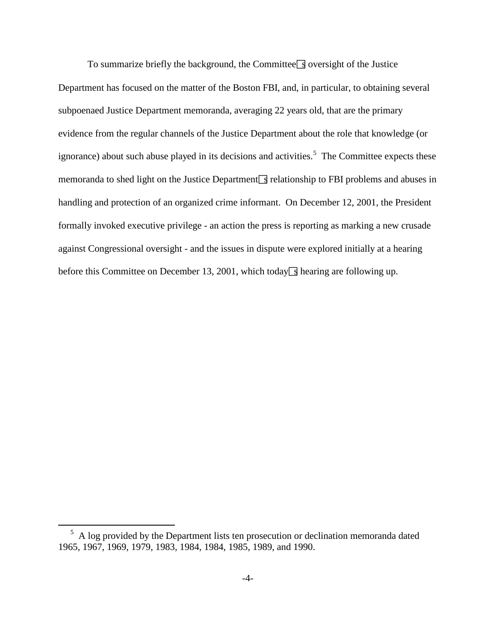To summarize briefly the background, the Committee  $\sqrt{s}$  oversight of the Justice Department has focused on the matter of the Boston FBI, and, in particular, to obtaining several subpoenaed Justice Department memoranda, averaging 22 years old, that are the primary evidence from the regular channels of the Justice Department about the role that knowledge (or ignorance) about such abuse played in its decisions and activities.<sup>[5](#page-3-0)</sup> The Committee expects these memoranda to shed light on the Justice Department  $\sqrt{s}$  relationship to FBI problems and abuses in handling and protection of an organized crime informant. On December 12, 2001, the President formally invoked executive privilege - an action the press is reporting as marking a new crusade against Congressional oversight - and the issues in dispute were explored initially at a hearing before this Committee on December 13, 2001, which today  $\sqrt{s}$  hearing are following up.

<span id="page-3-0"></span><sup>&</sup>lt;sup>5</sup> A log provided by the Department lists ten prosecution or declination memoranda dated 1965, 1967, 1969, 1979, 1983, 1984, 1984, 1985, 1989, and 1990.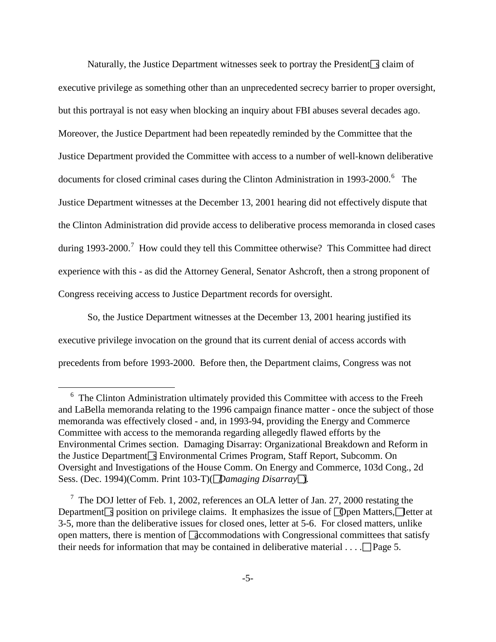Naturally, the Justice Department witnesses seek to portray the President  $\sqrt{s}$  claim of executive privilege as something other than an unprecedented secrecy barrier to proper oversight, but this portrayal is not easy when blocking an inquiry about FBI abuses several decades ago. Moreover, the Justice Department had been repeatedly reminded by the Committee that the Justice Department provided the Committee with access to a number of well-known deliberative documents for closed criminal cases during the Clinton Administration in 1993-2000.<sup>[6](#page-4-0)</sup> The Justice Department witnesses at the December 13, 2001 hearing did not effectively dispute that the Clinton Administration did provide access to deliberative process memoranda in closed cases during 1993-2000.<sup>[7](#page-4-1)</sup> How could they tell this Committee otherwise? This Committee had direct experience with this - as did the Attorney General, Senator Ashcroft, then a strong proponent of Congress receiving access to Justice Department records for oversight.

So, the Justice Department witnesses at the December 13, 2001 hearing justified its executive privilege invocation on the ground that its current denial of access accords with precedents from before 1993-2000. Before then, the Department claims, Congress was not

<span id="page-4-0"></span><sup>&</sup>lt;sup>6</sup> The Clinton Administration ultimately provided this Committee with access to the Freeh and LaBella memoranda relating to the 1996 campaign finance matter - once the subject of those memoranda was effectively closed - and, in 1993-94, providing the Energy and Commerce Committee with access to the memoranda regarding allegedly flawed efforts by the Environmental Crimes section. Damaging Disarray: Organizational Breakdown and Reform in the Justice Department  $\sqrt{s}$  Environmental Crimes Program, Staff Report, Subcomm. On Oversight and Investigations of the House Comm. On Energy and Commerce, 103d Cong., 2d Sess. (Dec. 1994)(Comm. Print 103-T)(*Damaging Disarray*).

<span id="page-4-1"></span><sup>&</sup>lt;sup>7</sup> The DOJ letter of Feb. 1, 2002, references an OLA letter of Jan. 27, 2000 restating the Department sposition on privilege claims. It emphasizes the issue of  $\Box$  Deen Matters,  $\Box$  letter at 3-5, more than the deliberative issues for closed ones, letter at 5-6. For closed matters, unlike open matters, there is mention of  $\sqrt{2}$  decommodations with Congressional committees that satisfy their needs for information that may be contained in deliberative material  $\dots$  .  $\Box$  Page 5.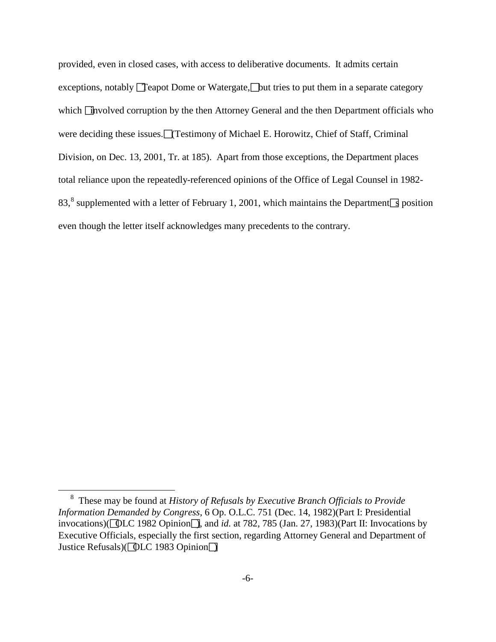provided, even in closed cases, with access to deliberative documents. It admits certain exceptions, notably  $\Box$  reapot Dome or Watergate,  $\Box$  but tries to put them in a separate category which  $\Box$  hypolved corruption by the then Attorney General and the then Department officials who were deciding these issues.  $\Box$  (Testimony of Michael E. Horowitz, Chief of Staff, Criminal Division, on Dec. 13, 2001, Tr. at 185). Apart from those exceptions, the Department places total reliance upon the repeatedly-referenced opinions of the Office of Legal Counsel in 1982- [8](#page-5-0)3,<sup>8</sup> supplemented with a letter of February 1, 2001, which maintains the Department sposition even though the letter itself acknowledges many precedents to the contrary.

<span id="page-5-0"></span><sup>8</sup> These may be found at *History of Refusals by Executive Branch Officials to Provide Information Demanded by Congress*, 6 Op. O.L.C. 751 (Dec. 14, 1982)(Part I: Presidential invocations)( $\boxed{\text{QLC}}$  1982 Opinion $\boxed{\phantom{a}}$ , and *id.* at 782, 785 (Jan. 27, 1983)(Part II: Invocations by Executive Officials, especially the first section, regarding Attorney General and Department of Justice Refusals)( **OLC** 1983 Opinion **D**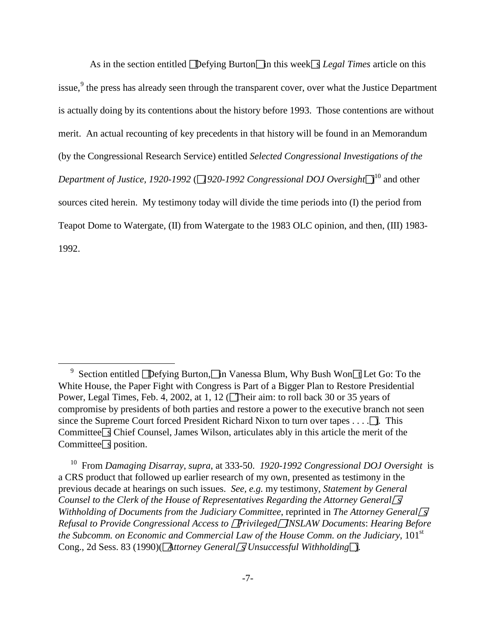As in the section entitled  $\sqrt{\text{Defying Burton}}$  in this week  $\sqrt{\text{s}$  Legal Times article on this issue,<sup>[9](#page-6-0)</sup> the press has already seen through the transparent cover, over what the Justice Department is actually doing by its contentions about the history before 1993. Those contentions are without merit. An actual recounting of key precedents in that history will be found in an Memorandum (by the Congressional Research Service) entitled *Selected Congressional Investigations of the*  Department of Justice, 1920-1992 ( $\Box$ 920-1992 Congressional DOJ Oversight $\Box^{10}$  $\Box^{10}$  $\Box^{10}$  and other sources cited herein. My testimony today will divide the time periods into (I) the period from Teapot Dome to Watergate, (II) from Watergate to the 1983 OLC opinion, and then, (III) 1983- 1992.

<span id="page-6-0"></span><sup>&</sup>lt;sup>9</sup> Section entitled **D**efying Burton, In Vanessa Blum, Why Bush Won<sup>1</sup> Let Go: To the White House, the Paper Fight with Congress is Part of a Bigger Plan to Restore Presidential Power, Legal Times, Feb. 4, 2002, at 1, 12 (Their aim: to roll back 30 or 35 years of compromise by presidents of both parties and restore a power to the executive branch not seen since the Supreme Court forced President Richard Nixon to turn over tapes  $\dots$ . Committee  $\sqrt{ }$  Chief Counsel, James Wilson, articulates ably in this article the merit of the Committee  $\sqrt{s}$  position.

<span id="page-6-1"></span>10 From *Damaging Disarray*, *supra*, at 333-50. *1920-1992 Congressional DOJ Oversight* is a CRS product that followed up earlier research of my own, presented as testimony in the previous decade at hearings on such issues. *See, e.g.* my testimony, *Statement by General Counsel to the Clerk of the House of Representatives Regarding the Attorney General*<sup>*s*</sup> *Withholding of Documents from the Judiciary Committee, reprinted in The Attorney General Refusal to Provide Congressional Access to PrivilegedINSLAW Documents*: *Hearing Before the Subcomm. on Economic and Commercial Law of the House Comm. on the Judiciary*, 101<sup>st</sup> Cong., 2d Sess. 83 (1990)(*Attorney Generals Unsuccessful Withholding*).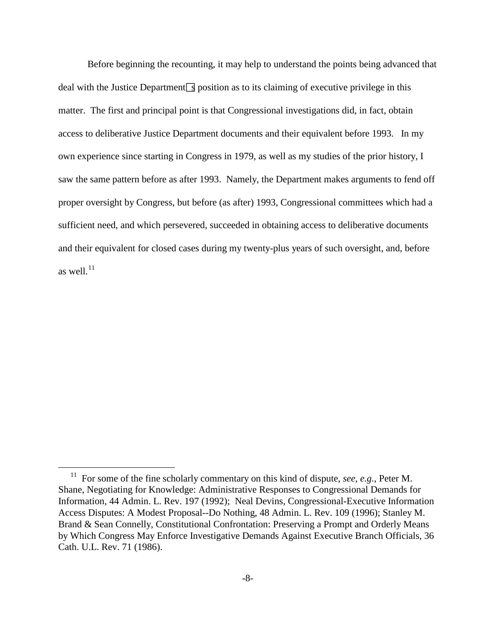Before beginning the recounting, it may help to understand the points being advanced that deal with the Justice Department  $\sqrt{s}$  position as to its claiming of executive privilege in this matter. The first and principal point is that Congressional investigations did, in fact, obtain access to deliberative Justice Department documents and their equivalent before 1993. In my own experience since starting in Congress in 1979, as well as my studies of the prior history, I saw the same pattern before as after 1993. Namely, the Department makes arguments to fend off proper oversight by Congress, but before (as after) 1993, Congressional committees which had a sufficient need, and which persevered, succeeded in obtaining access to deliberative documents and their equivalent for closed cases during my twenty-plus years of such oversight, and, before as well. $^{11}$  $^{11}$  $^{11}$ 

<span id="page-7-0"></span>11 For some of the fine scholarly commentary on this kind of dispute, *see, e.g.*, Peter M. Shane, Negotiating for Knowledge: Administrative Responses to Congressional Demands for Information, 44 Admin. L. Rev. 197 (1992); Neal Devins, Congressional-Executive Information Access Disputes: A Modest Proposal--Do Nothing, 48 Admin. L. Rev. 109 (1996); Stanley M. Brand & Sean Connelly, Constitutional Confrontation: Preserving a Prompt and Orderly Means by Which Congress May Enforce Investigative Demands Against Executive Branch Officials, 36 Cath. U.L. Rev. 71 (1986).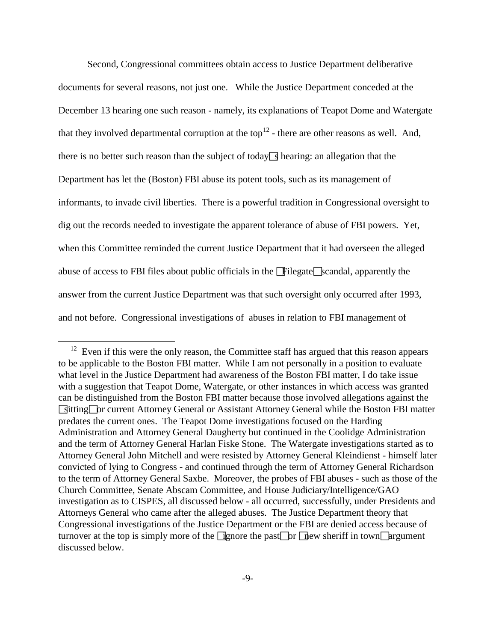Second, Congressional committees obtain access to Justice Department deliberative documents for several reasons, not just one. While the Justice Department conceded at the December 13 hearing one such reason - namely, its explanations of Teapot Dome and Watergate that they involved departmental corruption at the top<sup>[12](#page-8-0)</sup> - there are other reasons as well. And, there is no better such reason than the subject of today  $\sqrt{s}$  hearing: an allegation that the Department has let the (Boston) FBI abuse its potent tools, such as its management of informants, to invade civil liberties. There is a powerful tradition in Congressional oversight to dig out the records needed to investigate the apparent tolerance of abuse of FBI powers. Yet, when this Committee reminded the current Justice Department that it had overseen the alleged abuse of access to FBI files about public officials in the  $\Box$ Filegate  $\Box$ scandal, apparently the answer from the current Justice Department was that such oversight only occurred after 1993, and not before. Congressional investigations of abuses in relation to FBI management of

<span id="page-8-0"></span> $12$  Even if this were the only reason, the Committee staff has argued that this reason appears to be applicable to the Boston FBI matter. While I am not personally in a position to evaluate what level in the Justice Department had awareness of the Boston FBI matter, I do take issue with a suggestion that Teapot Dome, Watergate, or other instances in which access was granted can be distinguished from the Boston FBI matter because those involved allegations against the sitting or current Attorney General or Assistant Attorney General while the Boston FBI matter predates the current ones. The Teapot Dome investigations focused on the Harding Administration and Attorney General Daugherty but continued in the Coolidge Administration and the term of Attorney General Harlan Fiske Stone. The Watergate investigations started as to Attorney General John Mitchell and were resisted by Attorney General Kleindienst - himself later convicted of lying to Congress - and continued through the term of Attorney General Richardson to the term of Attorney General Saxbe. Moreover, the probes of FBI abuses - such as those of the Church Committee, Senate Abscam Committee, and House Judiciary/Intelligence/GAO investigation as to CISPES, all discussed below - all occurred, successfully, under Presidents and Attorneys General who came after the alleged abuses. The Justice Department theory that Congressional investigations of the Justice Department or the FBI are denied access because of turnover at the top is simply more of the  $\Box$ gnore the past $\Box$ or  $\Box$ glew sheriff in town $\Box$ argument discussed below.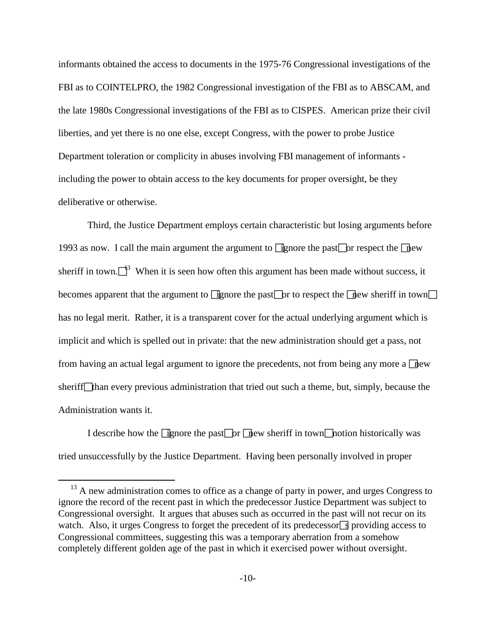informants obtained the access to documents in the 1975-76 Congressional investigations of the FBI as to COINTELPRO, the 1982 Congressional investigation of the FBI as to ABSCAM, and the late 1980s Congressional investigations of the FBI as to CISPES. American prize their civil liberties, and yet there is no one else, except Congress, with the power to probe Justice Department toleration or complicity in abuses involving FBI management of informants including the power to obtain access to the key documents for proper oversight, be they deliberative or otherwise.

Third, the Justice Department employs certain characteristic but losing arguments before 1993 as now. I call the main argument the argument to **ignore** the past or respect the new sheriff in town. $\Box^3$  When it is seen how often this argument has been made without success, it becomes apparent that the argument to **ignore** the past<sub>or</sub> to respect the  $\pi$  ew sheriff in town has no legal merit. Rather, it is a transparent cover for the actual underlying argument which is implicit and which is spelled out in private: that the new administration should get a pass, not from having an actual legal argument to ignore the precedents, not from being any more a  $\Box$ sheriff han every previous administration that tried out such a theme, but, simply, because the Administration wants it.

I describe how the  $\Box$  gnore the past $\Box$  or  $\Box$  new sheriff in town $\Box$  notion historically was tried unsuccessfully by the Justice Department. Having been personally involved in proper

<span id="page-9-0"></span> $13$  A new administration comes to office as a change of party in power, and urges Congress to ignore the record of the recent past in which the predecessor Justice Department was subject to Congressional oversight. It argues that abuses such as occurred in the past will not recur on its watch. Also, it urges Congress to forget the precedent of its predecessor  $\sqrt{s}$  providing access to Congressional committees, suggesting this was a temporary aberration from a somehow completely different golden age of the past in which it exercised power without oversight.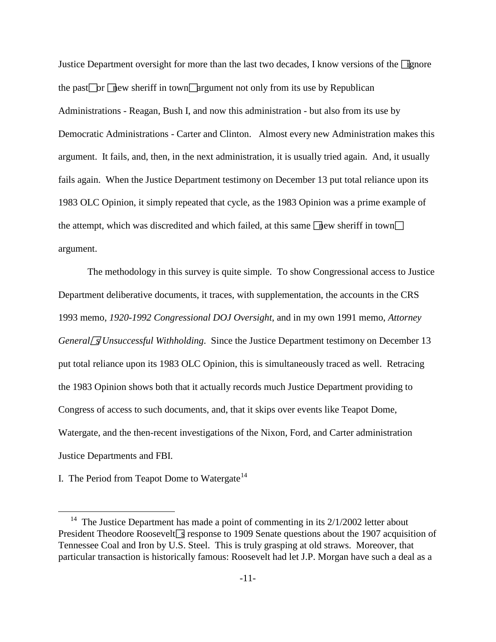Justice Department oversight for more than the last two decades, I know versions of the  $\Box$  genere the past or  $\Gamma$  hew sheriff in town  $\Gamma$  argument not only from its use by Republican Administrations - Reagan, Bush I, and now this administration - but also from its use by Democratic Administrations - Carter and Clinton. Almost every new Administration makes this argument. It fails, and, then, in the next administration, it is usually tried again. And, it usually fails again. When the Justice Department testimony on December 13 put total reliance upon its 1983 OLC Opinion, it simply repeated that cycle, as the 1983 Opinion was a prime example of the attempt, which was discredited and which failed, at this same  $\boxed{\phantom{a}}$  new sheriff in town $\boxed{\phantom{a}}$ argument.

The methodology in this survey is quite simple. To show Congressional access to Justice Department deliberative documents, it traces, with supplementation, the accounts in the CRS 1993 memo, *1920-1992 Congressional DOJ Oversight*, and in my own 1991 memo, *Attorney General SUnsuccessful Withholding.* Since the Justice Department testimony on December 13 put total reliance upon its 1983 OLC Opinion, this is simultaneously traced as well. Retracing the 1983 Opinion shows both that it actually records much Justice Department providing to Congress of access to such documents, and, that it skips over events like Teapot Dome, Watergate, and the then-recent investigations of the Nixon, Ford, and Carter administration Justice Departments and FBI.

I. The Period from Teapot Dome to Watergate<sup>[14](#page-10-0)</sup>

<span id="page-10-0"></span><sup>&</sup>lt;sup>14</sup> The Justice Department has made a point of commenting in its  $2/1/2002$  letter about President Theodore Roosevelt $\sqrt{s}$  response to 1909 Senate questions about the 1907 acquisition of Tennessee Coal and Iron by U.S. Steel. This is truly grasping at old straws. Moreover, that particular transaction is historically famous: Roosevelt had let J.P. Morgan have such a deal as a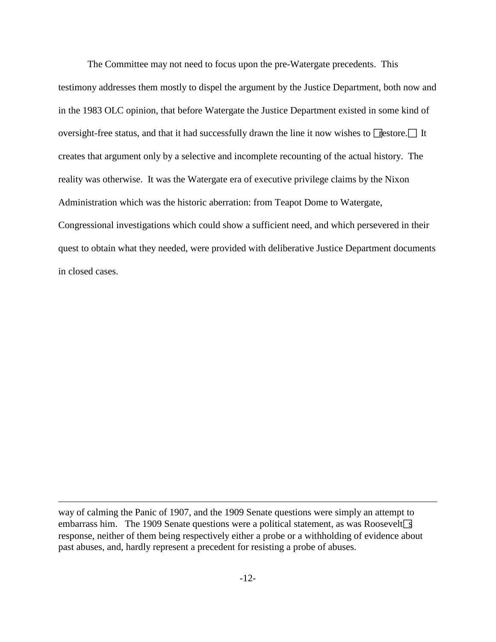The Committee may not need to focus upon the pre-Watergate precedents. This testimony addresses them mostly to dispel the argument by the Justice Department, both now and in the 1983 OLC opinion, that before Watergate the Justice Department existed in some kind of oversight-free status, and that it had successfully drawn the line it now wishes to  $\Box$  estore. It creates that argument only by a selective and incomplete recounting of the actual history. The reality was otherwise. It was the Watergate era of executive privilege claims by the Nixon Administration which was the historic aberration: from Teapot Dome to Watergate, Congressional investigations which could show a sufficient need, and which persevered in their quest to obtain what they needed, were provided with deliberative Justice Department documents in closed cases.

way of calming the Panic of 1907, and the 1909 Senate questions were simply an attempt to embarrass him. The 1909 Senate questions were a political statement, as was Roosevelt  $\sqrt{s}$ response, neither of them being respectively either a probe or a withholding of evidence about past abuses, and, hardly represent a precedent for resisting a probe of abuses.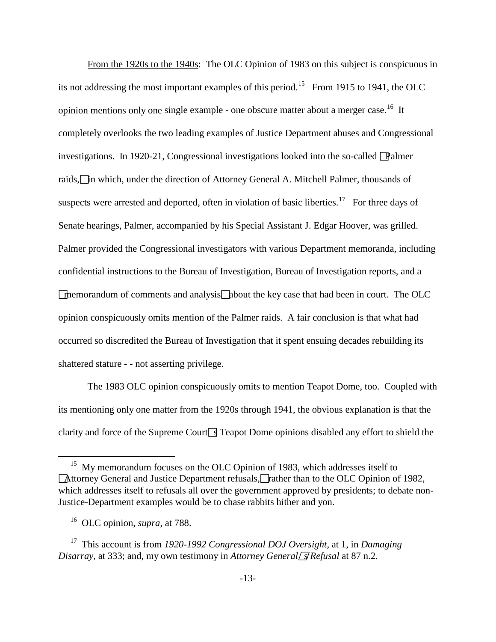From the 1920s to the 1940s: The OLC Opinion of 1983 on this subject is conspicuous in its not addressing the most important examples of this period.<sup>[15](#page-12-0)</sup> From 1915 to 1941, the OLC opinion mentions only one single example - one obscure matter about a merger case.<sup>16</sup> It completely overlooks the two leading examples of Justice Department abuses and Congressional investigations. In 1920-21, Congressional investigations looked into the so-called Palmer raids,<sup>I</sup> in which, under the direction of Attorney General A. Mitchell Palmer, thousands of suspects were arrested and deported, often in violation of basic liberties.<sup>[17](#page-12-2)</sup> For three days of Senate hearings, Palmer, accompanied by his Special Assistant J. Edgar Hoover, was grilled. Palmer provided the Congressional investigators with various Department memoranda, including confidential instructions to the Bureau of Investigation, Bureau of Investigation reports, and a  $\Box$ memorandum of comments and analysis $\Box$ about the key case that had been in court. The OLC opinion conspicuously omits mention of the Palmer raids. A fair conclusion is that what had occurred so discredited the Bureau of Investigation that it spent ensuing decades rebuilding its shattered stature - - not asserting privilege.

The 1983 OLC opinion conspicuously omits to mention Teapot Dome, too. Coupled with its mentioning only one matter from the 1920s through 1941, the obvious explanation is that the clarity and force of the Supreme Court $\sqrt{ }$  Teapot Dome opinions disabled any effort to shield the

<span id="page-12-0"></span><sup>&</sup>lt;sup>15</sup> My memorandum focuses on the OLC Opinion of 1983, which addresses itself to **Attorney General and Justice Department refusals, Frather than to the OLC Opinion of 1982,** which addresses itself to refusals all over the government approved by presidents; to debate non-Justice-Department examples would be to chase rabbits hither and yon.

16 OLC opinion, *supra*, at 788.

<span id="page-12-2"></span><span id="page-12-1"></span>17 This account is from *1920-1992 Congressional DOJ Oversight*, at 1, in *Damaging Disarray*, at 333; and, my own testimony in *Attorney General S Refusal* at 87 n.2.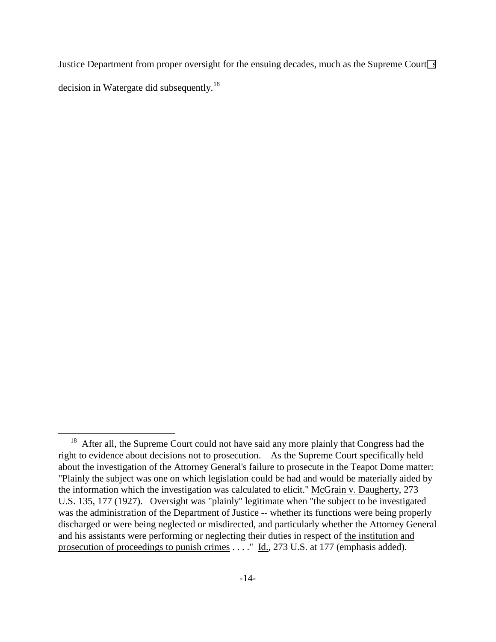Justice Department from proper oversight for the ensuing decades, much as the Supreme Court $\boxed{S}$ decision in Watergate did subsequently.<sup>[18](#page-13-0)</sup>

<span id="page-13-0"></span> $18$  After all, the Supreme Court could not have said any more plainly that Congress had the right to evidence about decisions not to prosecution. As the Supreme Court specifically held about the investigation of the Attorney General's failure to prosecute in the Teapot Dome matter: "Plainly the subject was one on which legislation could be had and would be materially aided by the information which the investigation was calculated to elicit." McGrain v. Daugherty, 273 U.S. 135, 177 (1927). Oversight was "plainly" legitimate when "the subject to be investigated was the administration of the Department of Justice -- whether its functions were being properly discharged or were being neglected or misdirected, and particularly whether the Attorney General and his assistants were performing or neglecting their duties in respect of the institution and prosecution of proceedings to punish crimes . . . . " Id., 273 U.S. at 177 (emphasis added).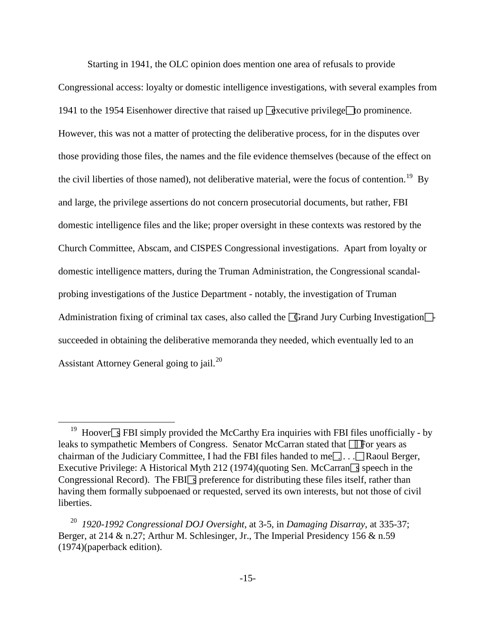Starting in 1941, the OLC opinion does mention one area of refusals to provide

Congressional access: loyalty or domestic intelligence investigations, with several examples from 1941 to the 1954 Eisenhower directive that raised up  $\sqrt{2}$  decutive privilege  $\sqrt{2}$  b prominence. However, this was not a matter of protecting the deliberative process, for in the disputes over those providing those files, the names and the file evidence themselves (because of the effect on the civil liberties of those named), not deliberative material, were the focus of contention.<sup>19</sup> By and large, the privilege assertions do not concern prosecutorial documents, but rather, FBI domestic intelligence files and the like; proper oversight in these contexts was restored by the Church Committee, Abscam, and CISPES Congressional investigations. Apart from loyalty or domestic intelligence matters, during the Truman Administration, the Congressional scandalprobing investigations of the Justice Department - notably, the investigation of Truman Administration fixing of criminal tax cases, also called the  $\sqrt{G}$  Grand Jury Curbing Investigation $\sqrt{\phantom{G}}$ succeeded in obtaining the deliberative memoranda they needed, which eventually led to an Assistant Attorney General going to jail.<sup>[20](#page-14-1)</sup>

<span id="page-14-0"></span><sup>&</sup>lt;sup>19</sup> Hoover **F** FBI simply provided the McCarthy Era inquiries with FBI files unofficially - by leaks to sympathetic Members of Congress. Senator McCarran stated that  $\Box$  For years as chairman of the Judiciary Committee, I had the FBI files handed to me $\Box$ ...  $\Box$ Raoul Berger, Executive Privilege: A Historical Myth 212 (1974)(quoting Sen. McCarran speech in the Congressional Record). The FBI $\Box$  preference for distributing these files itself, rather than having them formally subpoenaed or requested, served its own interests, but not those of civil liberties.

<span id="page-14-1"></span>20 *1920-1992 Congressional DOJ Oversight*, at 3-5, in *Damaging Disarray*, at 335-37; Berger, at 214 & n.27; Arthur M. Schlesinger, Jr., The Imperial Presidency 156 & n.59 (1974)(paperback edition).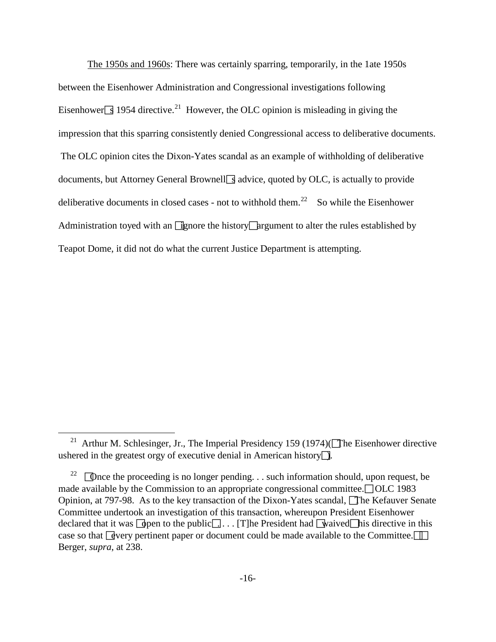The 1950s and 1960s: There was certainly sparring, temporarily, in the 1ate 1950s between the Eisenhower Administration and Congressional investigations following Eisenhower  $\boxed{3}$  1954 directive.<sup>21</sup> However, the OLC opinion is misleading in giving the impression that this sparring consistently denied Congressional access to deliberative documents. The OLC opinion cites the Dixon-Yates scandal as an example of withholding of deliberative documents, but Attorney General Brownell  $\sqrt{3}$  advice, quoted by OLC, is actually to provide deliberative documents in closed cases - not to withhold them.<sup>[22](#page-15-1)</sup> So while the Eisenhower Administration toyed with an  $\boxed{\phantom{a}I}$  gnore the history $\boxed{\phantom{a}I}$  argument to alter the rules established by Teapot Dome, it did not do what the current Justice Department is attempting.

<span id="page-15-0"></span><sup>&</sup>lt;sup>21</sup> Arthur M. Schlesinger, Jr., The Imperial Presidency 159 (1974)( $\Box$ The Eisenhower directive ushered in the greatest orgy of executive denial in American history.

<span id="page-15-1"></span><sup>&</sup>lt;sup>22</sup> Once the proceeding is no longer pending. . . such information should, upon request, be made available by the Commission to an appropriate congressional committee.  $\Box$  OLC 1983 Opinion, at 797-98. As to the key transaction of the Dixon-Yates scandal, The Kefauver Senate Committee undertook an investigation of this transaction, whereupon President Eisenhower declared that it was  $\boxed{\downarrow}$  open to the public.... [T]he President had  $\boxed{\downarrow}$  vaived $\boxed{\downarrow}$  is directive in this case so that  $\sqrt{\frac{1}{2}}$  detection paper or document could be made available to the Committee. Berger, *supra*, at 238.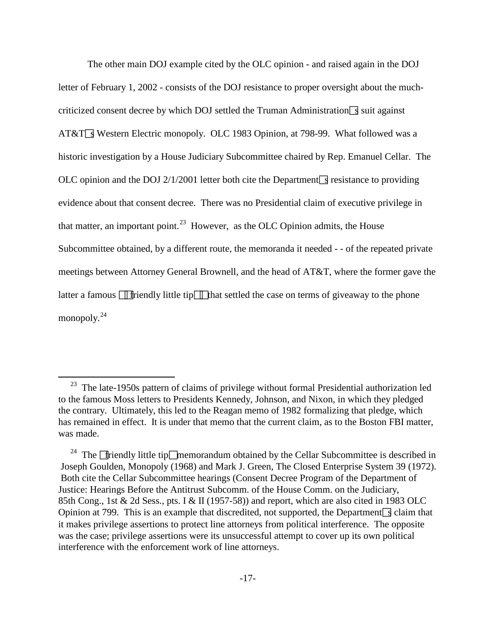The other main DOJ example cited by the OLC opinion - and raised again in the DOJ letter of February 1, 2002 - consists of the DOJ resistance to proper oversight about the muchcriticized consent decree by which DOJ settled the Truman Administration  $\sqrt{s}$  suit against AT&T<sup>s</sup> Western Electric monopoly. OLC 1983 Opinion, at 798-99. What followed was a historic investigation by a House Judiciary Subcommittee chaired by Rep. Emanuel Cellar. The OLC opinion and the DOJ 2/1/2001 letter both cite the Department  $\sqrt{s}$  resistance to providing evidence about that consent decree. There was no Presidential claim of executive privilege in that matter, an important point.<sup>23</sup> However, as the OLC Opinion admits, the House Subcommittee obtained, by a different route, the memoranda it needed - - of the repeated private meetings between Attorney General Brownell, and the head of AT&T, where the former gave the latter a famous  $\Box$  friendly little tip $\Box$  that settled the case on terms of giveaway to the phone monopoly.<sup>[24](#page-16-1)</sup>

<span id="page-16-0"></span> $23$  The late-1950s pattern of claims of privilege without formal Presidential authorization led to the famous Moss letters to Presidents Kennedy, Johnson, and Nixon, in which they pledged the contrary. Ultimately, this led to the Reagan memo of 1982 formalizing that pledge, which has remained in effect. It is under that memo that the current claim, as to the Boston FBI matter, was made.

<span id="page-16-1"></span><sup>&</sup>lt;sup>24</sup> The  $\Box$  friendly little tip $\Box$  memorandum obtained by the Cellar Subcommittee is described in Joseph Goulden, Monopoly (1968) and Mark J. Green, The Closed Enterprise System 39 (1972). Both cite the Cellar Subcommittee hearings (Consent Decree Program of the Department of Justice: Hearings Before the Antitrust Subcomm. of the House Comm. on the Judiciary, 85th Cong., 1st & 2d Sess., pts. I & II (1957-58)) and report, which are also cited in 1983 OLC Opinion at 799. This is an example that discredited, not supported, the Department sclaim that it makes privilege assertions to protect line attorneys from political interference. The opposite was the case; privilege assertions were its unsuccessful attempt to cover up its own political interference with the enforcement work of line attorneys.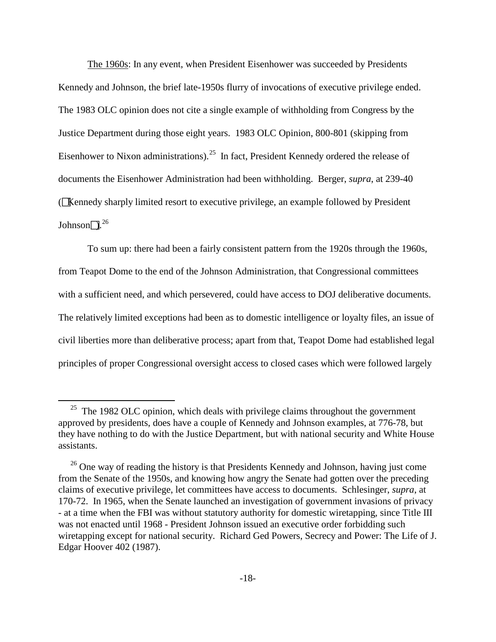The 1960s: In any event, when President Eisenhower was succeeded by Presidents Kennedy and Johnson, the brief late-1950s flurry of invocations of executive privilege ended. The 1983 OLC opinion does not cite a single example of withholding from Congress by the Justice Department during those eight years. 1983 OLC Opinion, 800-801 (skipping from Eisenhower to Nixon administrations).<sup>[25](#page-17-0)</sup> In fact, President Kennedy ordered the release of documents the Eisenhower Administration had been withholding. Berger, *supra*, at 239-40 (Kennedy sharply limited resort to executive privilege, an example followed by President Johnson $\Box$ <sup>[26](#page-17-1)</sup>

To sum up: there had been a fairly consistent pattern from the 1920s through the 1960s, from Teapot Dome to the end of the Johnson Administration, that Congressional committees with a sufficient need, and which persevered, could have access to DOJ deliberative documents. The relatively limited exceptions had been as to domestic intelligence or loyalty files, an issue of civil liberties more than deliberative process; apart from that, Teapot Dome had established legal principles of proper Congressional oversight access to closed cases which were followed largely

<span id="page-17-0"></span> $25$  The 1982 OLC opinion, which deals with privilege claims throughout the government approved by presidents, does have a couple of Kennedy and Johnson examples, at 776-78, but they have nothing to do with the Justice Department, but with national security and White House assistants.

<span id="page-17-1"></span><sup>&</sup>lt;sup>26</sup> One way of reading the history is that Presidents Kennedy and Johnson, having just come from the Senate of the 1950s, and knowing how angry the Senate had gotten over the preceding claims of executive privilege, let committees have access to documents. Schlesinger, *supra*, at 170-72. In 1965, when the Senate launched an investigation of government invasions of privacy - at a time when the FBI was without statutory authority for domestic wiretapping, since Title III was not enacted until 1968 - President Johnson issued an executive order forbidding such wiretapping except for national security. Richard Ged Powers, Secrecy and Power: The Life of J. Edgar Hoover 402 (1987).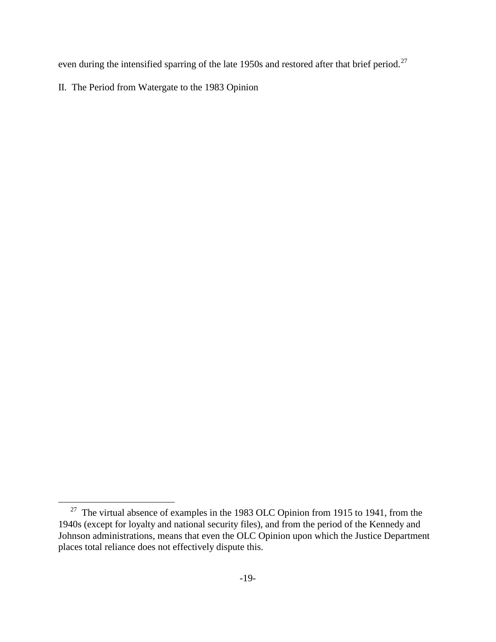even during the intensified sparring of the late 1950s and restored after that brief period.<sup>[27](#page-18-0)</sup>

II. The Period from Watergate to the 1983 Opinion

<span id="page-18-0"></span><sup>&</sup>lt;sup>27</sup> The virtual absence of examples in the 1983 OLC Opinion from 1915 to 1941, from the 1940s (except for loyalty and national security files), and from the period of the Kennedy and Johnson administrations, means that even the OLC Opinion upon which the Justice Department places total reliance does not effectively dispute this.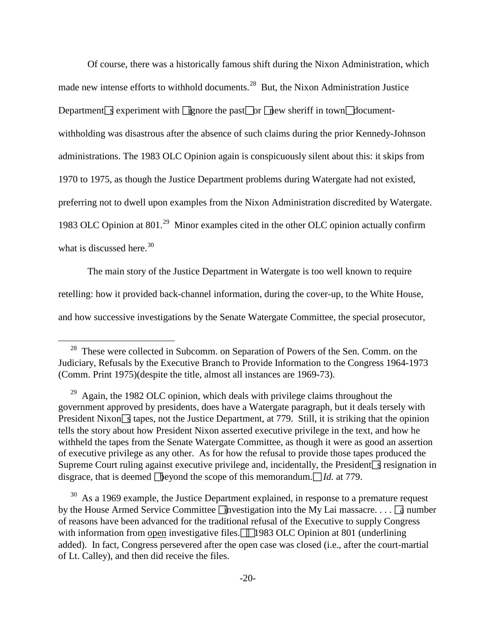Of course, there was a historically famous shift during the Nixon Administration, which made new intense efforts to withhold documents.<sup>[28](#page-19-0)</sup> But, the Nixon Administration Justice Department s experiment with  $\Box$  gnore the past $\Box$  or  $\Box$  ew sheriff in town $\Box$  documentwithholding was disastrous after the absence of such claims during the prior Kennedy-Johnson administrations. The 1983 OLC Opinion again is conspicuously silent about this: it skips from 1970 to 1975, as though the Justice Department problems during Watergate had not existed, preferring not to dwell upon examples from the Nixon Administration discredited by Watergate. 1983 OLC Opinion at 801.<sup>[29](#page-19-1)</sup> Minor examples cited in the other OLC opinion actually confirm what is discussed here. $30$ 

The main story of the Justice Department in Watergate is too well known to require retelling: how it provided back-channel information, during the cover-up, to the White House, and how successive investigations by the Senate Watergate Committee, the special prosecutor,

<span id="page-19-0"></span><sup>&</sup>lt;sup>28</sup> These were collected in Subcomm. on Separation of Powers of the Sen. Comm. on the Judiciary, Refusals by the Executive Branch to Provide Information to the Congress 1964-1973 (Comm. Print 1975)(despite the title, almost all instances are 1969-73).

<span id="page-19-1"></span> $29$  Again, the 1982 OLC opinion, which deals with privilege claims throughout the government approved by presidents, does have a Watergate paragraph, but it deals tersely with President Nixon  $\sqrt{s}$  tapes, not the Justice Department, at 779. Still, it is striking that the opinion tells the story about how President Nixon asserted executive privilege in the text, and how he withheld the tapes from the Senate Watergate Committee, as though it were as good an assertion of executive privilege as any other. As for how the refusal to provide those tapes produced the Supreme Court ruling against executive privilege and, incidentally, the President  $\sqrt{s}$  resignation in disgrace, that is deemed **b**eyond the scope of this memorandum.  $\Box$  *Id.* at 779.

<span id="page-19-2"></span> $30$  As a 1969 example, the Justice Department explained, in response to a premature request by the House Armed Service Committee  $\Box$  hypostigation into the My Lai massacre. . . .  $\Box$  number of reasons have been advanced for the traditional refusal of the Executive to supply Congress with information from open investigative files.  $\Box$  1983 OLC Opinion at 801 (underlining added). In fact, Congress persevered after the open case was closed (i.e., after the court-martial of Lt. Calley), and then did receive the files.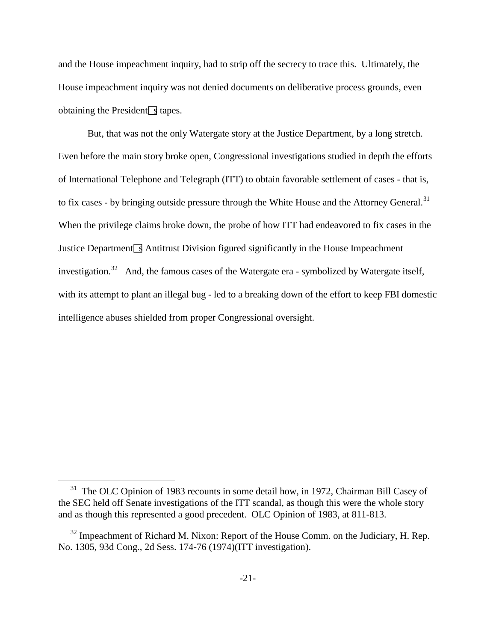and the House impeachment inquiry, had to strip off the secrecy to trace this. Ultimately, the House impeachment inquiry was not denied documents on deliberative process grounds, even obtaining the President  $\boxed{\phantom{s}}$  tapes.

But, that was not the only Watergate story at the Justice Department, by a long stretch. Even before the main story broke open, Congressional investigations studied in depth the efforts of International Telephone and Telegraph (ITT) to obtain favorable settlement of cases - that is, to fix cases - by bringing outside pressure through the White House and the Attorney General.<sup>[31](#page-20-0)</sup> When the privilege claims broke down, the probe of how ITT had endeavored to fix cases in the Justice Department  $\sqrt{s}$  Antitrust Division figured significantly in the House Impeachment investigation.<sup>[32](#page-20-1)</sup> And, the famous cases of the Watergate era - symbolized by Watergate itself, with its attempt to plant an illegal bug - led to a breaking down of the effort to keep FBI domestic intelligence abuses shielded from proper Congressional oversight.

<span id="page-20-0"></span><sup>&</sup>lt;sup>31</sup> The OLC Opinion of 1983 recounts in some detail how, in 1972, Chairman Bill Casey of the SEC held off Senate investigations of the ITT scandal, as though this were the whole story and as though this represented a good precedent. OLC Opinion of 1983, at 811-813.

<span id="page-20-1"></span> $32$  Impeachment of Richard M. Nixon: Report of the House Comm. on the Judiciary, H. Rep. No. 1305, 93d Cong., 2d Sess. 174-76 (1974)(ITT investigation).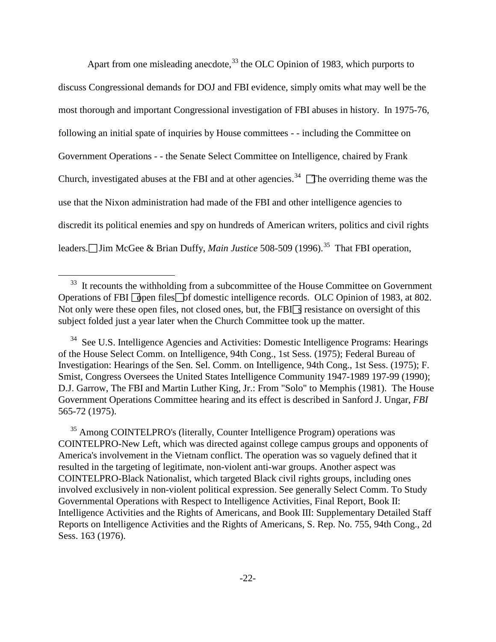Apart from one misleading anecdote,  $33$  the OLC Opinion of 1983, which purports to discuss Congressional demands for DOJ and FBI evidence, simply omits what may well be the most thorough and important Congressional investigation of FBI abuses in history. In 1975-76, following an initial spate of inquiries by House committees - - including the Committee on Government Operations - - the Senate Select Committee on Intelligence, chaired by Frank Church, investigated abuses at the FBI and at other agencies.<sup>34</sup>  $\Box$  The overriding theme was the use that the Nixon administration had made of the FBI and other intelligence agencies to discredit its political enemies and spy on hundreds of American writers, politics and civil rights leaders.□Jim McGee & Brian Duffy, *Main Justice* 508-509 (1996).<sup>[35](#page-21-2)</sup> That FBI operation,

<span id="page-21-0"></span><sup>&</sup>lt;sup>33</sup> It recounts the withholding from a subcommittee of the House Committee on Government Operations of FBI  $\Box$  open files  $\Box$  b f domestic intelligence records. OLC Opinion of 1983, at 802. Not only were these open files, not closed ones, but, the  $FBI\sqrt{3}$  resistance on oversight of this subject folded just a year later when the Church Committee took up the matter.

<span id="page-21-1"></span> $34$  See U.S. Intelligence Agencies and Activities: Domestic Intelligence Programs: Hearings of the House Select Comm. on Intelligence, 94th Cong., 1st Sess. (1975); Federal Bureau of Investigation: Hearings of the Sen. Sel. Comm. on Intelligence, 94th Cong., 1st Sess. (1975); F. Smist, Congress Oversees the United States Intelligence Community 1947-1989 197-99 (1990); D.J. Garrow, The FBI and Martin Luther King, Jr.: From "Solo" to Memphis (1981). The House Government Operations Committee hearing and its effect is described in Sanford J. Ungar, *FBI* 565-72 (1975).

<span id="page-21-2"></span><sup>&</sup>lt;sup>35</sup> Among COINTELPRO's (literally, Counter Intelligence Program) operations was COINTELPRO-New Left, which was directed against college campus groups and opponents of America's involvement in the Vietnam conflict. The operation was so vaguely defined that it resulted in the targeting of legitimate, non-violent anti-war groups. Another aspect was COINTELPRO-Black Nationalist, which targeted Black civil rights groups, including ones involved exclusively in non-violent political expression. See generally Select Comm. To Study Governmental Operations with Respect to Intelligence Activities, Final Report, Book II: Intelligence Activities and the Rights of Americans, and Book III: Supplementary Detailed Staff Reports on Intelligence Activities and the Rights of Americans, S. Rep. No. 755, 94th Cong., 2d Sess. 163 (1976).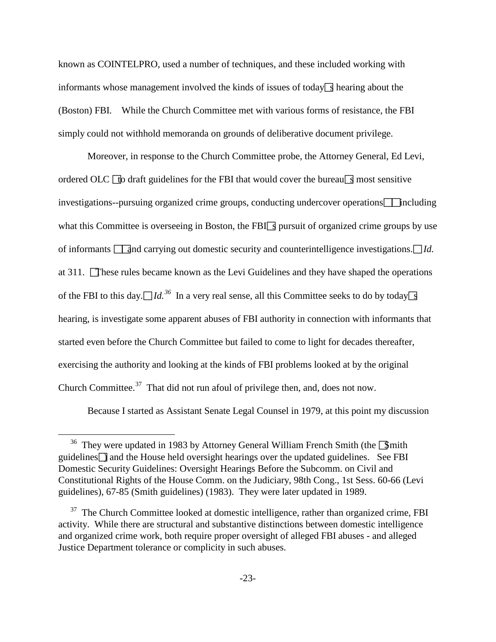known as COINTELPRO, used a number of techniques, and these included working with informants whose management involved the kinds of issues of today  $\sqrt{s}$  hearing about the (Boston) FBI. While the Church Committee met with various forms of resistance, the FBI simply could not withhold memoranda on grounds of deliberative document privilege.

Moreover, in response to the Church Committee probe, the Attorney General, Ed Levi, ordered OLC  $\Box$  to draft guidelines for the FBI that would cover the bureausly most sensitive  $i$  investigations--pursuing organized crime groups, conducting undercover operations  $\Box$  including what this Committee is overseeing in Boston, the FBI $\Box$  pursuit of organized crime groups by use of informants **and carrying out domestic security and counterintelligence investigations.** *IId.* at 311. These rules became known as the Levi Guidelines and they have shaped the operations of the FBI to this day.  $\Box I d^{36}$  $\Box I d^{36}$  $\Box I d^{36}$  In a very real sense, all this Committee seeks to do by today s hearing, is investigate some apparent abuses of FBI authority in connection with informants that started even before the Church Committee but failed to come to light for decades thereafter, exercising the authority and looking at the kinds of FBI problems looked at by the original Church Committee. $37$  That did not run afoul of privilege then, and, does not now.

Because I started as Assistant Senate Legal Counsel in 1979, at this point my discussion

<span id="page-22-0"></span><sup>&</sup>lt;sup>36</sup> They were updated in 1983 by Attorney General William French Smith (the  $\sqrt{3}$ mith guidelines $\Box$  and the House held oversight hearings over the updated guidelines. See FBI Domestic Security Guidelines: Oversight Hearings Before the Subcomm. on Civil and Constitutional Rights of the House Comm. on the Judiciary, 98th Cong., 1st Sess. 60-66 (Levi guidelines), 67-85 (Smith guidelines) (1983). They were later updated in 1989.

<span id="page-22-1"></span> $37$  The Church Committee looked at domestic intelligence, rather than organized crime, FBI activity. While there are structural and substantive distinctions between domestic intelligence and organized crime work, both require proper oversight of alleged FBI abuses - and alleged Justice Department tolerance or complicity in such abuses.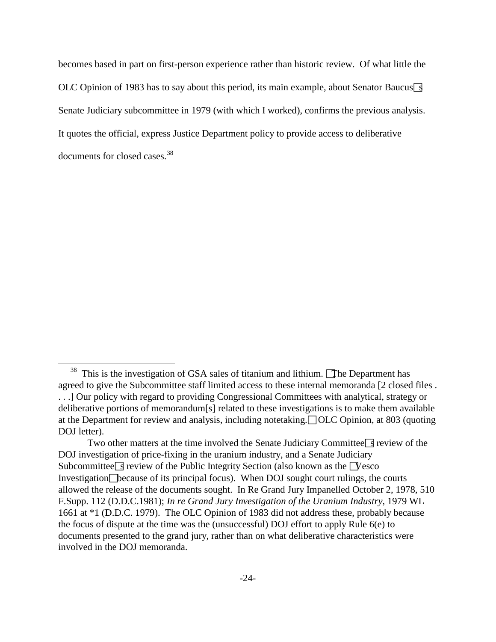becomes based in part on first-person experience rather than historic review. Of what little the OLC Opinion of 1983 has to say about this period, its main example, about Senator Baucus  $\frac{1}{3}$ Senate Judiciary subcommittee in 1979 (with which I worked), confirms the previous analysis. It quotes the official, express Justice Department policy to provide access to deliberative documents for closed cases.<sup>[38](#page-23-0)</sup>

<span id="page-23-0"></span> $38$  This is the investigation of GSA sales of titanium and lithium. The Department has agreed to give the Subcommittee staff limited access to these internal memoranda [2 closed files . . . .] Our policy with regard to providing Congressional Committees with analytical, strategy or deliberative portions of memorandum[s] related to these investigations is to make them available at the Department for review and analysis, including notetaking. OLC Opinion, at 803 (quoting DOJ letter).

Two other matters at the time involved the Senate Judiciary Committee  $\sqrt{3}$  review of the DOJ investigation of price-fixing in the uranium industry, and a Senate Judiciary Subcommittee  $\leq$  review of the Public Integrity Section (also known as the Vesco Investigation $\Box$  because of its principal focus). When DOJ sought court rulings, the courts allowed the release of the documents sought. In Re Grand Jury Impanelled October 2, 1978, 510 F.Supp. 112 (D.D.C.1981); *In re Grand Jury Investigation of the Uranium Industry*, 1979 WL 1661 at \*1 (D.D.C. 1979). The OLC Opinion of 1983 did not address these, probably because the focus of dispute at the time was the (unsuccessful) DOJ effort to apply Rule 6(e) to documents presented to the grand jury, rather than on what deliberative characteristics were involved in the DOJ memoranda.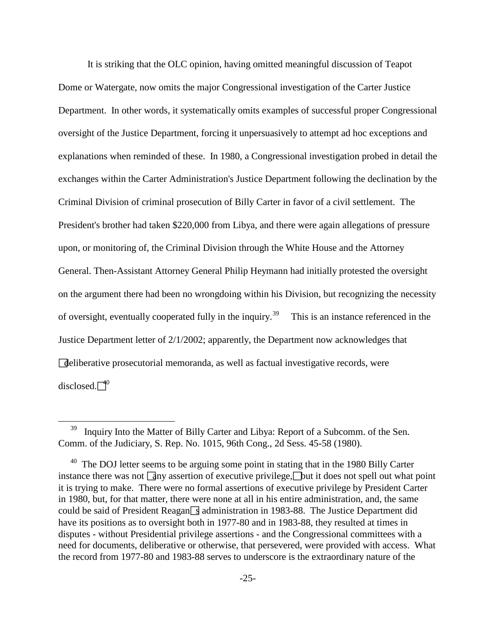It is striking that the OLC opinion, having omitted meaningful discussion of Teapot Dome or Watergate, now omits the major Congressional investigation of the Carter Justice Department. In other words, it systematically omits examples of successful proper Congressional oversight of the Justice Department, forcing it unpersuasively to attempt ad hoc exceptions and explanations when reminded of these. In 1980, a Congressional investigation probed in detail the exchanges within the Carter Administration's Justice Department following the declination by the Criminal Division of criminal prosecution of Billy Carter in favor of a civil settlement. The President's brother had taken \$220,000 from Libya, and there were again allegations of pressure upon, or monitoring of, the Criminal Division through the White House and the Attorney General. Then-Assistant Attorney General Philip Heymann had initially protested the oversight on the argument there had been no wrongdoing within his Division, but recognizing the necessity of oversight, eventually cooperated fully in the inquiry.<sup>39</sup> This is an instance referenced in the Justice Department letter of 2/1/2002; apparently, the Department now acknowledges that deliberative prosecutorial memoranda, as well as factual investigative records, were disclosed. $\sqrt{4^0}$ 

<span id="page-24-0"></span>Inquiry Into the Matter of Billy Carter and Libya: Report of a Subcomm. of the Sen. Comm. of the Judiciary, S. Rep. No. 1015, 96th Cong., 2d Sess. 45-58 (1980).

<span id="page-24-1"></span> $40$  The DOJ letter seems to be arguing some point in stating that in the 1980 Billy Carter instance there was not  $\boxed{a}$ ny assertion of executive privilege, $\boxed{b}$ ut it does not spell out what point it is trying to make. There were no formal assertions of executive privilege by President Carter in 1980, but, for that matter, there were none at all in his entire administration, and, the same could be said of President Reagan  $\sqrt{s}$  administration in 1983-88. The Justice Department did have its positions as to oversight both in 1977-80 and in 1983-88, they resulted at times in disputes - without Presidential privilege assertions - and the Congressional committees with a need for documents, deliberative or otherwise, that persevered, were provided with access. What the record from 1977-80 and 1983-88 serves to underscore is the extraordinary nature of the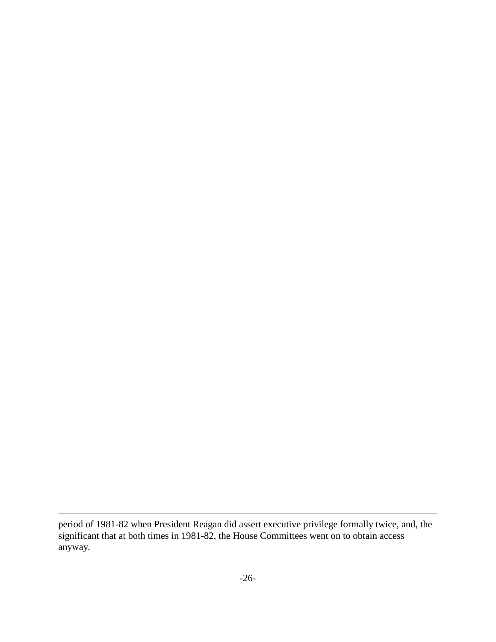period of 1981-82 when President Reagan did assert executive privilege formally twice, and, the significant that at both times in 1981-82, the House Committees went on to obtain access anyway.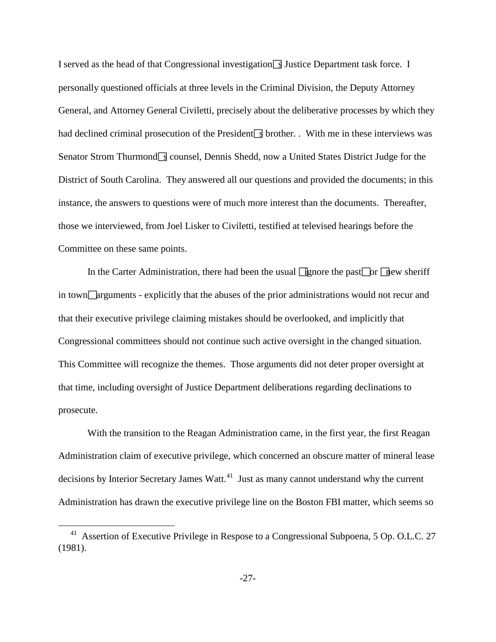I served as the head of that Congressional investigation  $\boxed{3}$  Justice Department task force. I personally questioned officials at three levels in the Criminal Division, the Deputy Attorney General, and Attorney General Civiletti, precisely about the deliberative processes by which they had declined criminal prosecution of the President  $\Box$  brother. . With me in these interviews was Senator Strom Thurmond  $\sqrt{s}$  counsel, Dennis Shedd, now a United States District Judge for the District of South Carolina. They answered all our questions and provided the documents; in this instance, the answers to questions were of much more interest than the documents. Thereafter, those we interviewed, from Joel Lisker to Civiletti, testified at televised hearings before the Committee on these same points.

In the Carter Administration, there had been the usual  $\exists$  gnore the past $\Box$  or  $\Box$  hew sheriff in town  $\Box$  arguments - explicitly that the abuses of the prior administrations would not recur and that their executive privilege claiming mistakes should be overlooked, and implicitly that Congressional committees should not continue such active oversight in the changed situation. This Committee will recognize the themes. Those arguments did not deter proper oversight at that time, including oversight of Justice Department deliberations regarding declinations to prosecute.

With the transition to the Reagan Administration came, in the first year, the first Reagan Administration claim of executive privilege, which concerned an obscure matter of mineral lease decisions by Interior Secretary James Watt.<sup>[41](#page-26-0)</sup> Just as many cannot understand why the current Administration has drawn the executive privilege line on the Boston FBI matter, which seems so

<span id="page-26-0"></span><sup>&</sup>lt;sup>41</sup> Assertion of Executive Privilege in Respose to a Congressional Subpoena, 5 Op. O.L.C. 27 (1981).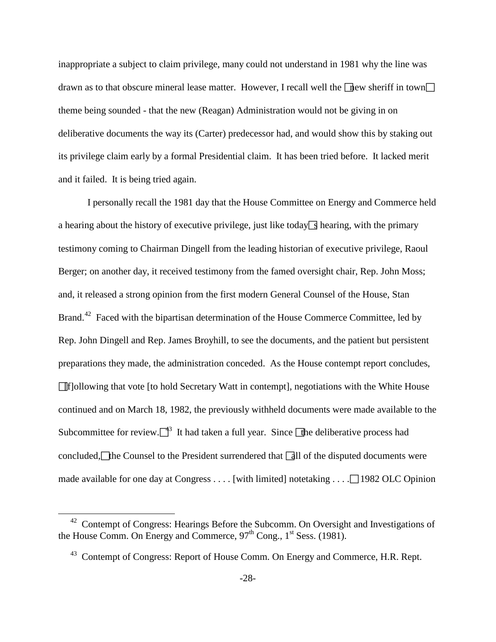inappropriate a subject to claim privilege, many could not understand in 1981 why the line was drawn as to that obscure mineral lease matter. However, I recall well the  $\lceil \cdot \rceil$  the new sheriff in town theme being sounded - that the new (Reagan) Administration would not be giving in on deliberative documents the way its (Carter) predecessor had, and would show this by staking out its privilege claim early by a formal Presidential claim. It has been tried before. It lacked merit and it failed. It is being tried again.

I personally recall the 1981 day that the House Committee on Energy and Commerce held a hearing about the history of executive privilege, just like today  $\sqrt{ }$  hearing, with the primary testimony coming to Chairman Dingell from the leading historian of executive privilege, Raoul Berger; on another day, it received testimony from the famed oversight chair, Rep. John Moss; and, it released a strong opinion from the first modern General Counsel of the House, Stan Brand.<sup>42</sup> Faced with the bipartisan determination of the House Commerce Committee, led by Rep. John Dingell and Rep. James Broyhill, to see the documents, and the patient but persistent preparations they made, the administration conceded. As the House contempt report concludes, [f]ollowing that vote [to hold Secretary Watt in contempt], negotiations with the White House continued and on March 18, 1982, the previously withheld documents were made available to the Subcommittee for review. $\Box$ <sup>3</sup> It had taken a full year. Since  $\Box$  the deliberative process had concluded, the Counsel to the President surrendered that  $\boxed{dl}$  of the disputed documents were made available for one day at Congress  $\dots$ . [with limited] notetaking  $\dots$  [1982 OLC Opinion]

<span id="page-27-1"></span><span id="page-27-0"></span><sup>&</sup>lt;sup>42</sup> Contempt of Congress: Hearings Before the Subcomm. On Oversight and Investigations of the House Comm. On Energy and Commerce,  $97<sup>th</sup>$  Cong.,  $1<sup>st</sup>$  Sess. (1981).

<sup>&</sup>lt;sup>43</sup> Contempt of Congress: Report of House Comm. On Energy and Commerce, H.R. Rept.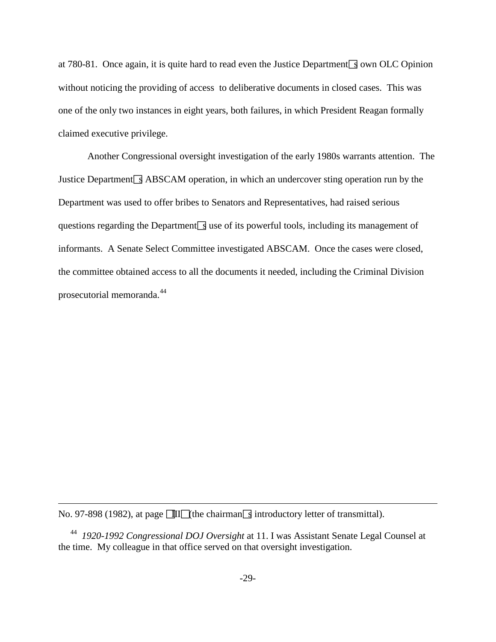at 780-81. Once again, it is quite hard to read even the Justice Department  $\sqrt{3}$  own OLC Opinion without noticing the providing of access to deliberative documents in closed cases. This was one of the only two instances in eight years, both failures, in which President Reagan formally claimed executive privilege.

Another Congressional oversight investigation of the early 1980s warrants attention. The Justice Department  $\sqrt{ }$  ABSCAM operation, in which an undercover sting operation run by the Department was used to offer bribes to Senators and Representatives, had raised serious questions regarding the Department  $\sqrt{s}$  use of its powerful tools, including its management of informants. A Senate Select Committee investigated ABSCAM. Once the cases were closed, the committee obtained access to all the documents it needed, including the Criminal Division prosecutorial memoranda.<sup>[44](#page-28-0)</sup>

No. 97-898 (1982), at page  $\text{III}$  (the chairmans introductory letter of transmittal).

<span id="page-28-0"></span>44 *1920-1992 Congressional DOJ Oversight* at 11. I was Assistant Senate Legal Counsel at the time. My colleague in that office served on that oversight investigation.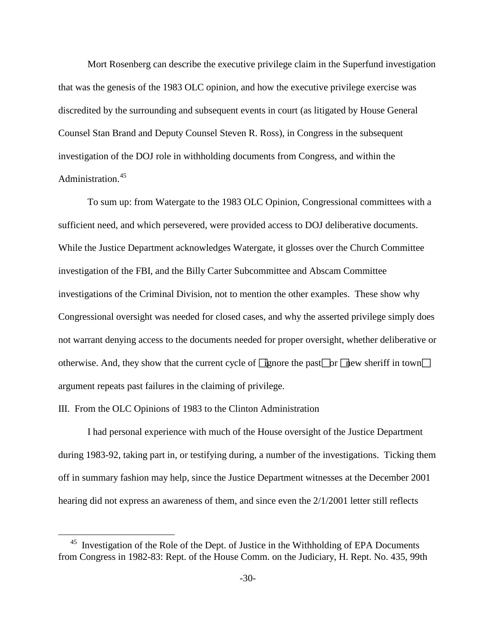Mort Rosenberg can describe the executive privilege claim in the Superfund investigation that was the genesis of the 1983 OLC opinion, and how the executive privilege exercise was discredited by the surrounding and subsequent events in court (as litigated by House General Counsel Stan Brand and Deputy Counsel Steven R. Ross), in Congress in the subsequent investigation of the DOJ role in withholding documents from Congress, and within the Administration.<sup>[45](#page-29-0)</sup>

To sum up: from Watergate to the 1983 OLC Opinion, Congressional committees with a sufficient need, and which persevered, were provided access to DOJ deliberative documents. While the Justice Department acknowledges Watergate, it glosses over the Church Committee investigation of the FBI, and the Billy Carter Subcommittee and Abscam Committee investigations of the Criminal Division, not to mention the other examples. These show why Congressional oversight was needed for closed cases, and why the asserted privilege simply does not warrant denying access to the documents needed for proper oversight, whether deliberative or otherwise. And, they show that the current cycle of  $\Box$  gnore the past $\Box$  or  $\Box$  new sheriff in town $\Box$ argument repeats past failures in the claiming of privilege.

## III. From the OLC Opinions of 1983 to the Clinton Administration

 $\overline{a}$ 

I had personal experience with much of the House oversight of the Justice Department during 1983-92, taking part in, or testifying during, a number of the investigations. Ticking them off in summary fashion may help, since the Justice Department witnesses at the December 2001 hearing did not express an awareness of them, and since even the 2/1/2001 letter still reflects

<span id="page-29-0"></span><sup>&</sup>lt;sup>45</sup> Investigation of the Role of the Dept. of Justice in the Withholding of EPA Documents from Congress in 1982-83: Rept. of the House Comm. on the Judiciary, H. Rept. No. 435, 99th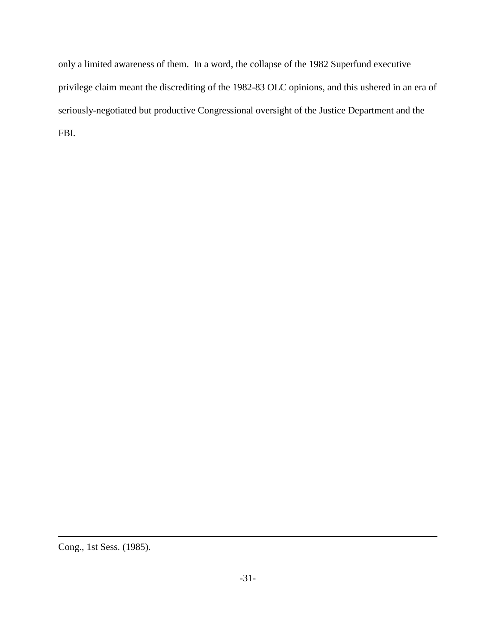only a limited awareness of them. In a word, the collapse of the 1982 Superfund executive privilege claim meant the discrediting of the 1982-83 OLC opinions, and this ushered in an era of seriously-negotiated but productive Congressional oversight of the Justice Department and the FBI.

Cong., 1st Sess. (1985).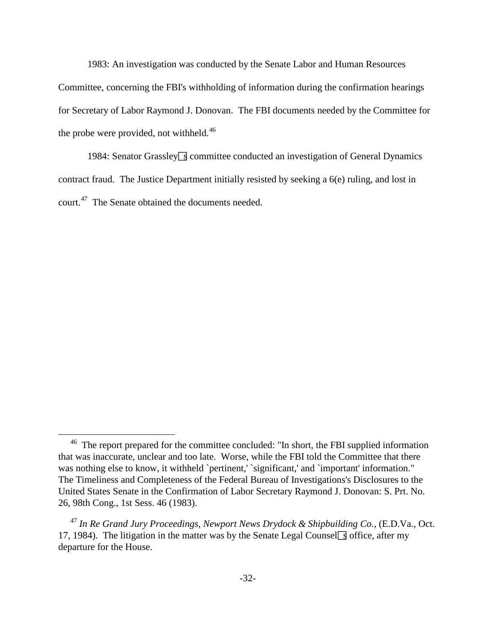1983: An investigation was conducted by the Senate Labor and Human Resources Committee, concerning the FBI's withholding of information during the confirmation hearings for Secretary of Labor Raymond J. Donovan. The FBI documents needed by the Committee for the probe were provided, not withheld.<sup>[46](#page-31-0)</sup>

1984: Senator Grassley Scommittee conducted an investigation of General Dynamics contract fraud. The Justice Department initially resisted by seeking a 6(e) ruling, and lost in court.<sup>[47](#page-31-1)</sup> The Senate obtained the documents needed.

<span id="page-31-0"></span><sup>&</sup>lt;sup>46</sup> The report prepared for the committee concluded: "In short, the FBI supplied information that was inaccurate, unclear and too late. Worse, while the FBI told the Committee that there was nothing else to know, it withheld `pertinent,' `significant,' and `important' information." The Timeliness and Completeness of the Federal Bureau of Investigations's Disclosures to the United States Senate in the Confirmation of Labor Secretary Raymond J. Donovan: S. Prt. No. 26, 98th Cong., 1st Sess. 46 (1983).

<span id="page-31-1"></span><sup>47</sup> *In Re Grand Jury Proceedings, Newport News Drydock & Shipbuilding Co.,* (E.D.Va., Oct. 17, 1984). The litigation in the matter was by the Senate Legal Counsel  $\sqrt{3}$  office, after my departure for the House.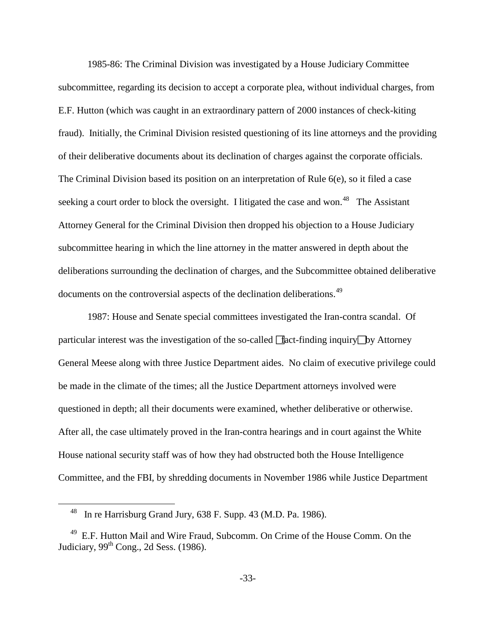1985-86: The Criminal Division was investigated by a House Judiciary Committee subcommittee, regarding its decision to accept a corporate plea, without individual charges, from E.F. Hutton (which was caught in an extraordinary pattern of 2000 instances of check-kiting fraud). Initially, the Criminal Division resisted questioning of its line attorneys and the providing of their deliberative documents about its declination of charges against the corporate officials. The Criminal Division based its position on an interpretation of Rule 6(e), so it filed a case seeking a court order to block the oversight. I litigated the case and won.<sup>[48](#page-32-0)</sup> The Assistant Attorney General for the Criminal Division then dropped his objection to a House Judiciary subcommittee hearing in which the line attorney in the matter answered in depth about the deliberations surrounding the declination of charges, and the Subcommittee obtained deliberative documents on the controversial aspects of the declination deliberations.<sup>[49](#page-32-1)</sup>

1987: House and Senate special committees investigated the Iran-contra scandal. Of particular interest was the investigation of the so-called  $\Box$  fact-finding inquiry  $\Box$  by Attorney General Meese along with three Justice Department aides. No claim of executive privilege could be made in the climate of the times; all the Justice Department attorneys involved were questioned in depth; all their documents were examined, whether deliberative or otherwise. After all, the case ultimately proved in the Iran-contra hearings and in court against the White House national security staff was of how they had obstructed both the House Intelligence Committee, and the FBI, by shredding documents in November 1986 while Justice Department

48 In re Harrisburg Grand Jury, 638 F. Supp. 43 (M.D. Pa. 1986).

<span id="page-32-1"></span><span id="page-32-0"></span><sup>&</sup>lt;sup>49</sup> E.F. Hutton Mail and Wire Fraud, Subcomm. On Crime of the House Comm. On the Judiciary,  $99<sup>th</sup>$  Cong., 2d Sess. (1986).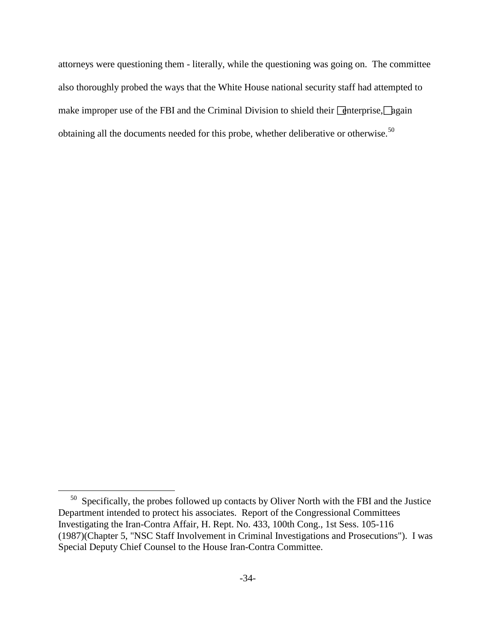attorneys were questioning them - literally, while the questioning was going on. The committee also thoroughly probed the ways that the White House national security staff had attempted to make improper use of the FBI and the Criminal Division to shield their  $\Box$  enterprise,  $\Box$  hearing obtaining all the documents needed for this probe, whether deliberative or otherwise.<sup>[50](#page-33-0)</sup>

<span id="page-33-0"></span> $50$  Specifically, the probes followed up contacts by Oliver North with the FBI and the Justice Department intended to protect his associates. Report of the Congressional Committees Investigating the Iran-Contra Affair, H. Rept. No. 433, 100th Cong., 1st Sess. 105-116 (1987)(Chapter 5, "NSC Staff Involvement in Criminal Investigations and Prosecutions"). I was Special Deputy Chief Counsel to the House Iran-Contra Committee.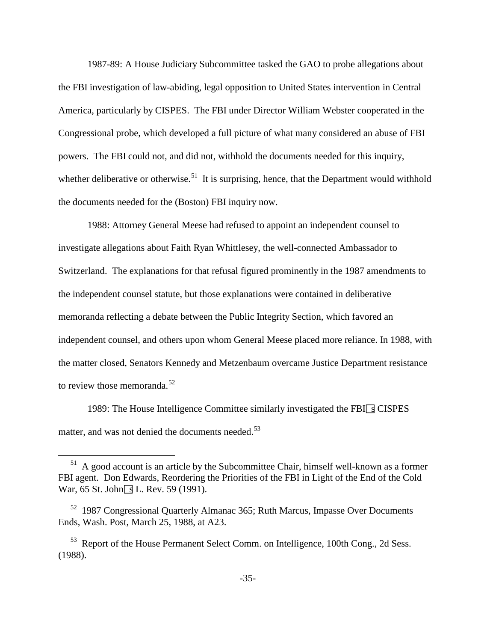1987-89: A House Judiciary Subcommittee tasked the GAO to probe allegations about the FBI investigation of law-abiding, legal opposition to United States intervention in Central America, particularly by CISPES. The FBI under Director William Webster cooperated in the Congressional probe, which developed a full picture of what many considered an abuse of FBI powers. The FBI could not, and did not, withhold the documents needed for this inquiry, whether deliberative or otherwise.<sup>[51](#page-34-0)</sup> It is surprising, hence, that the Department would withhold the documents needed for the (Boston) FBI inquiry now.

1988: Attorney General Meese had refused to appoint an independent counsel to investigate allegations about Faith Ryan Whittlesey, the well-connected Ambassador to Switzerland. The explanations for that refusal figured prominently in the 1987 amendments to the independent counsel statute, but those explanations were contained in deliberative memoranda reflecting a debate between the Public Integrity Section, which favored an independent counsel, and others upon whom General Meese placed more reliance. In 1988, with the matter closed, Senators Kennedy and Metzenbaum overcame Justice Department resistance to review those memoranda.<sup>[52](#page-34-1)</sup>

1989: The House Intelligence Committee similarly investigated the FBI $\sqrt{ }$ S CISPES matter, and was not denied the documents needed.<sup>[53](#page-34-2)</sup>

<span id="page-34-0"></span> $51$  A good account is an article by the Subcommittee Chair, himself well-known as a former FBI agent. Don Edwards, Reordering the Priorities of the FBI in Light of the End of the Cold War, 65 St. John $\sqrt{g}$  L. Rev. 59 (1991).

<span id="page-34-1"></span><sup>&</sup>lt;sup>52</sup> 1987 Congressional Quarterly Almanac 365; Ruth Marcus, Impasse Over Documents Ends, Wash. Post, March 25, 1988, at A23.

<span id="page-34-2"></span>53 Report of the House Permanent Select Comm. on Intelligence, 100th Cong., 2d Sess. (1988).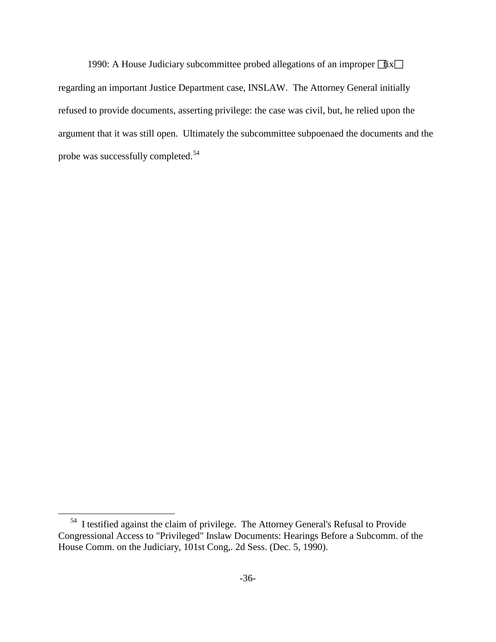1990: A House Judiciary subcommittee probed allegations of an improper  $\exists$ ix $\Box$ regarding an important Justice Department case, INSLAW. The Attorney General initially refused to provide documents, asserting privilege: the case was civil, but, he relied upon the argument that it was still open. Ultimately the subcommittee subpoenaed the documents and the probe was successfully completed.[54](#page-35-0)

<span id="page-35-0"></span>54 I testified against the claim of privilege. The Attorney General's Refusal to Provide Congressional Access to "Privileged" Inslaw Documents: Hearings Before a Subcomm. of the House Comm. on the Judiciary, 101st Cong,. 2d Sess. (Dec. 5, 1990).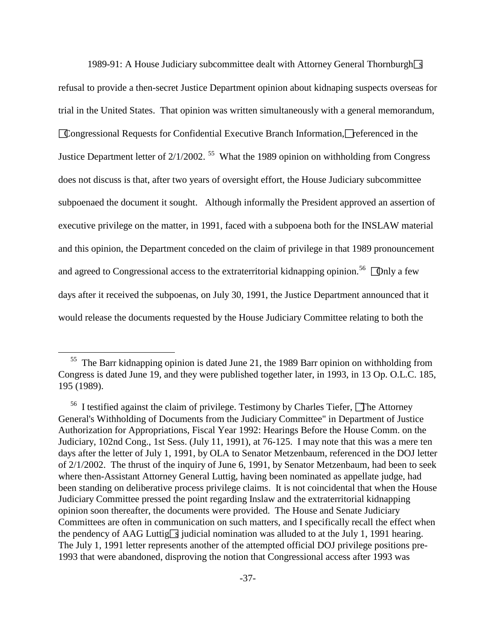1989-91: A House Judiciary subcommittee dealt with Attorney General Thornburgh  $\sqrt{s}$ refusal to provide a then-secret Justice Department opinion about kidnaping suspects overseas for trial in the United States. That opinion was written simultaneously with a general memorandum, Congressional Requests for Confidential Executive Branch Information, referenced in the Justice Department letter of  $2/1/2002$ . <sup>55</sup> What the 1989 opinion on withholding from Congress does not discuss is that, after two years of oversight effort, the House Judiciary subcommittee subpoenaed the document it sought. Although informally the President approved an assertion of executive privilege on the matter, in 1991, faced with a subpoena both for the INSLAW material and this opinion, the Department conceded on the claim of privilege in that 1989 pronouncement and agreed to Congressional access to the extraterritorial kidnapping opinion.<sup>[56](#page-36-1)</sup>  $\Box$  Only a few days after it received the subpoenas, on July 30, 1991, the Justice Department announced that it would release the documents requested by the House Judiciary Committee relating to both the

<span id="page-36-0"></span> $55$  The Barr kidnapping opinion is dated June 21, the 1989 Barr opinion on withholding from Congress is dated June 19, and they were published together later, in 1993, in 13 Op. O.L.C. 185, 195 (1989).

<span id="page-36-1"></span><sup>&</sup>lt;sup>56</sup> I testified against the claim of privilege. Testimony by Charles Tiefer, **The Attorney** General's Withholding of Documents from the Judiciary Committee" in Department of Justice Authorization for Appropriations, Fiscal Year 1992: Hearings Before the House Comm. on the Judiciary, 102nd Cong., 1st Sess. (July 11, 1991), at 76-125. I may note that this was a mere ten days after the letter of July 1, 1991, by OLA to Senator Metzenbaum, referenced in the DOJ letter of 2/1/2002. The thrust of the inquiry of June 6, 1991, by Senator Metzenbaum, had been to seek where then-Assistant Attorney General Luttig, having been nominated as appellate judge, had been standing on deliberative process privilege claims. It is not coincidental that when the House Judiciary Committee pressed the point regarding Inslaw and the extraterritorial kidnapping opinion soon thereafter, the documents were provided. The House and Senate Judiciary Committees are often in communication on such matters, and I specifically recall the effect when the pendency of AAG Luttig<sub>S</sub> judicial nomination was alluded to at the July 1, 1991 hearing. The July 1, 1991 letter represents another of the attempted official DOJ privilege positions pre-1993 that were abandoned, disproving the notion that Congressional access after 1993 was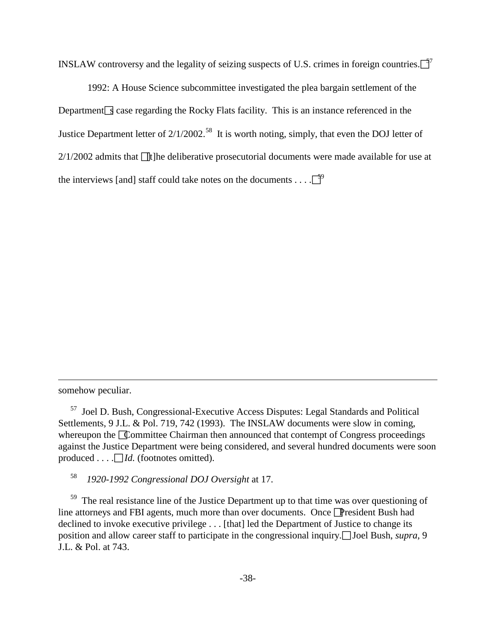INSLAW controversy and the legality of seizing suspects of U.S. crimes in foreign countries. $\lceil \frac{5}{7} \rceil$ 

1992: A House Science subcommittee investigated the plea bargain settlement of the Department  $\leq$  case regarding the Rocky Flats facility. This is an instance referenced in the Justice Department letter of  $2/1/2002$ .<sup>58</sup> It is worth noting, simply, that even the DOJ letter of  $2/1/2002$  admits that  $\Box$  the deliberative prosecutorial documents were made available for use at the interviews [and] staff could take notes on the documents . . . .  $\overline{5}^9$ 

somehow peculiar.

 $\overline{a}$ 

58 *1920-1992 Congressional DOJ Oversight* at 17.

<span id="page-37-2"></span><span id="page-37-1"></span> $59$  The real resistance line of the Justice Department up to that time was over questioning of line attorneys and FBI agents, much more than over documents. Once President Bush had declined to invoke executive privilege . . . [that] led the Department of Justice to change its position and allow career staff to participate in the congressional inquiry. Joel Bush, *supra*, 9 J.L. & Pol. at 743.

<span id="page-37-0"></span>57 Joel D. Bush, Congressional-Executive Access Disputes: Legal Standards and Political Settlements, 9 J.L. & Pol. 719, 742 (1993). The INSLAW documents were slow in coming, whereupon the Committee Chairman then announced that contempt of Congress proceedings against the Justice Department were being considered, and several hundred documents were soon produced  $\dots$  *Id.* (footnotes omitted).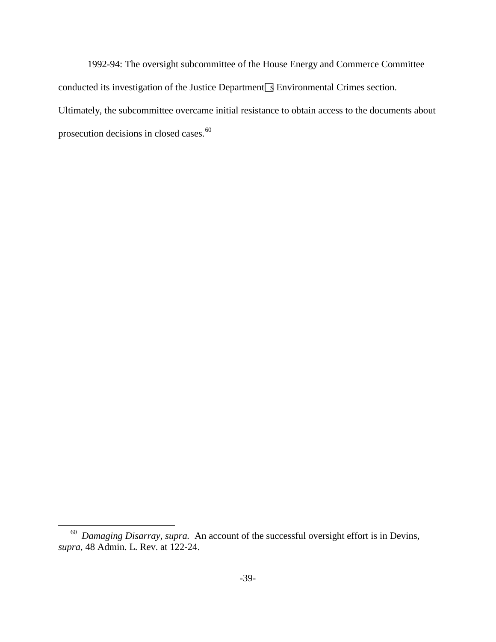1992-94: The oversight subcommittee of the House Energy and Commerce Committee conducted its investigation of the Justice Department  $\sqrt{s}$  Environmental Crimes section. Ultimately, the subcommittee overcame initial resistance to obtain access to the documents about prosecution decisions in closed cases.<sup>[60](#page-38-0)</sup>

<span id="page-38-0"></span>60 *Damaging Disarray*, *supra.* An account of the successful oversight effort is in Devins, *supra*, 48 Admin. L. Rev. at 122-24.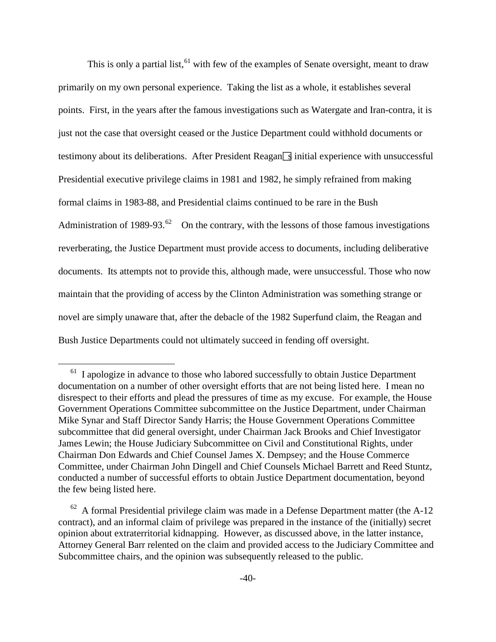This is only a partial list,  $61$  with few of the examples of Senate oversight, meant to draw primarily on my own personal experience. Taking the list as a whole, it establishes several points. First, in the years after the famous investigations such as Watergate and Iran-contra, it is just not the case that oversight ceased or the Justice Department could withhold documents or testimony about its deliberations. After President Reagan $\boxed{3}$  initial experience with unsuccessful Presidential executive privilege claims in 1981 and 1982, he simply refrained from making formal claims in 1983-88, and Presidential claims continued to be rare in the Bush Administration of 1989-93.<sup>[62](#page-39-1)</sup> On the contrary, with the lessons of those famous investigations reverberating, the Justice Department must provide access to documents, including deliberative documents. Its attempts not to provide this, although made, were unsuccessful. Those who now maintain that the providing of access by the Clinton Administration was something strange or novel are simply unaware that, after the debacle of the 1982 Superfund claim, the Reagan and Bush Justice Departments could not ultimately succeed in fending off oversight.

<span id="page-39-0"></span><sup>&</sup>lt;sup>61</sup> I apologize in advance to those who labored successfully to obtain Justice Department documentation on a number of other oversight efforts that are not being listed here. I mean no disrespect to their efforts and plead the pressures of time as my excuse. For example, the House Government Operations Committee subcommittee on the Justice Department, under Chairman Mike Synar and Staff Director Sandy Harris; the House Government Operations Committee subcommittee that did general oversight, under Chairman Jack Brooks and Chief Investigator James Lewin; the House Judiciary Subcommittee on Civil and Constitutional Rights, under Chairman Don Edwards and Chief Counsel James X. Dempsey; and the House Commerce Committee, under Chairman John Dingell and Chief Counsels Michael Barrett and Reed Stuntz, conducted a number of successful efforts to obtain Justice Department documentation, beyond the few being listed here.

<span id="page-39-1"></span> $62$  A formal Presidential privilege claim was made in a Defense Department matter (the A-12 contract), and an informal claim of privilege was prepared in the instance of the (initially) secret opinion about extraterritorial kidnapping. However, as discussed above, in the latter instance, Attorney General Barr relented on the claim and provided access to the Judiciary Committee and Subcommittee chairs, and the opinion was subsequently released to the public.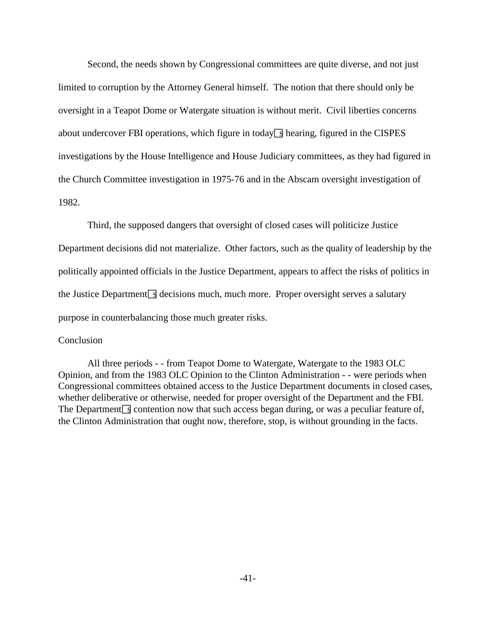Second, the needs shown by Congressional committees are quite diverse, and not just limited to corruption by the Attorney General himself. The notion that there should only be oversight in a Teapot Dome or Watergate situation is without merit. Civil liberties concerns about undercover FBI operations, which figure in today  $\leq$  hearing, figured in the CISPES investigations by the House Intelligence and House Judiciary committees, as they had figured in the Church Committee investigation in 1975-76 and in the Abscam oversight investigation of 1982.

Third, the supposed dangers that oversight of closed cases will politicize Justice Department decisions did not materialize. Other factors, such as the quality of leadership by the politically appointed officials in the Justice Department, appears to affect the risks of politics in the Justice Department  $\leq$  decisions much, much more. Proper oversight serves a salutary purpose in counterbalancing those much greater risks.

## **Conclusion**

All three periods - - from Teapot Dome to Watergate, Watergate to the 1983 OLC Opinion, and from the 1983 OLC Opinion to the Clinton Administration - - were periods when Congressional committees obtained access to the Justice Department documents in closed cases, whether deliberative or otherwise, needed for proper oversight of the Department and the FBI. The Department  $\sqrt{s}$  contention now that such access began during, or was a peculiar feature of, the Clinton Administration that ought now, therefore, stop, is without grounding in the facts.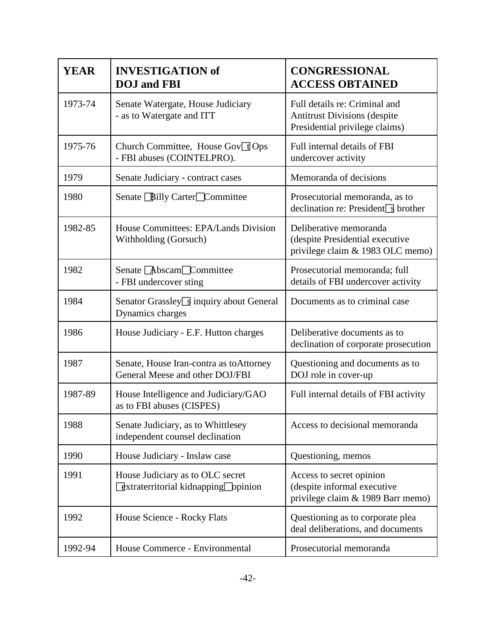| <b>YEAR</b> | <b>INVESTIGATION of</b><br><b>DOJ</b> and FBI                                                | <b>CONGRESSIONAL</b><br><b>ACCESS OBTAINED</b>                                                         |
|-------------|----------------------------------------------------------------------------------------------|--------------------------------------------------------------------------------------------------------|
| 1973-74     | Senate Watergate, House Judiciary<br>- as to Watergate and ITT                               | Full details re: Criminal and<br><b>Antitrust Divisions (despite</b><br>Presidential privilege claims) |
| 1975-76     | Church Committee, House Gov <sup>1</sup> Ops<br>- FBI abuses (COINTELPRO).                   | Full internal details of FBI<br>undercover activity                                                    |
| 1979        | Senate Judiciary - contract cases                                                            | Memoranda of decisions                                                                                 |
| 1980        | Senate Billy Carter Committee                                                                | Prosecutorial memoranda, as to<br>declination re: President $\sqrt{s}$ brother                         |
| 1982-85     | House Committees: EPA/Lands Division<br>Withholding (Gorsuch)                                | Deliberative memoranda<br>(despite Presidential executive<br>privilege claim & 1983 OLC memo)          |
| 1982        | Senate Abscam Committee<br>- FBI undercover sting                                            | Prosecutorial memoranda; full<br>details of FBI undercover activity                                    |
| 1984        | Senator Grassley Sinquiry about General<br>Dynamics charges                                  | Documents as to criminal case                                                                          |
| 1986        | House Judiciary - E.F. Hutton charges                                                        | Deliberative documents as to<br>declination of corporate prosecution                                   |
| 1987        | Senate, House Iran-contra as toAttorney<br>General Meese and other DOJ/FBI                   | Questioning and documents as to<br>DOJ role in cover-up                                                |
| 1987-89     | House Intelligence and Judiciary/GAO<br>as to FBI abuses (CISPES)                            | Full internal details of FBI activity                                                                  |
| 1988        | Senate Judiciary, as to Whittlesey<br>independent counsel declination                        | Access to decisional memoranda                                                                         |
| 1990        | House Judiciary - Inslaw case                                                                | Questioning, memos                                                                                     |
| 1991        | House Judiciary as to OLC secret<br>$\sqrt{2}$ xtraterritorial kidnapping $\sqrt{2}$ ppinion | Access to secret opinion<br>(despite informal executive<br>privilege claim & 1989 Barr memo)           |
| 1992        | House Science - Rocky Flats                                                                  | Questioning as to corporate plea<br>deal deliberations, and documents                                  |
| 1992-94     | House Commerce - Environmental                                                               | Prosecutorial memoranda                                                                                |